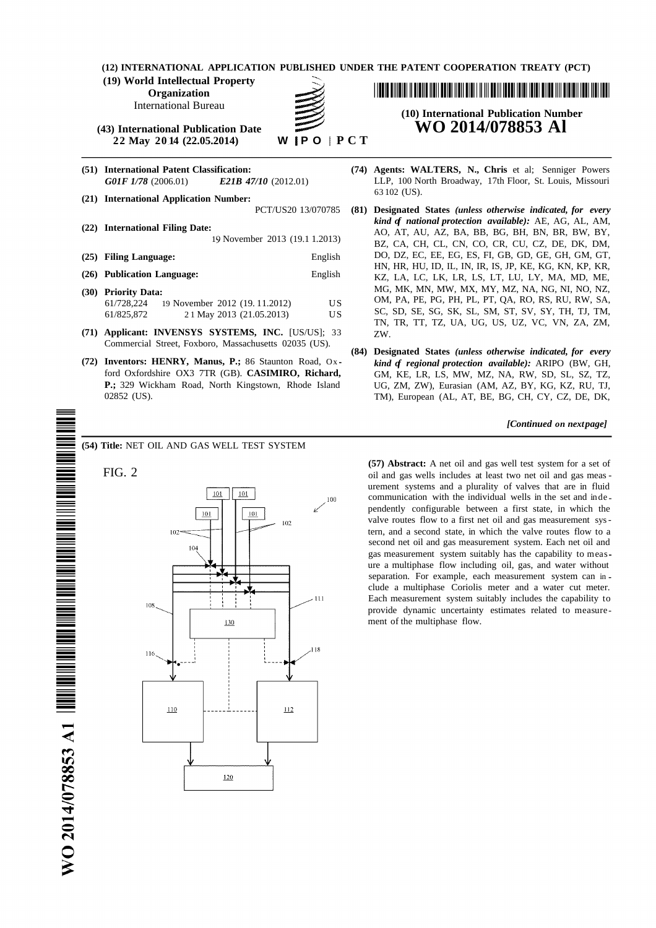**(12) INTERNATIONAL APPLICATION PUBLISHED UNDER THE PATENT COOPERATION TREATY (PCT)**

**(19) World Intellectual Property**

**Organization**

International Bureau

**(43) International Publication Date WO 2014/078853 Al 22 May 20014 (22.05.2014)** 

- 
- <sup>63</sup> <sup>102</sup> (US). **(21) International Application Number:**
- 
- 
- 
- 61/728,224 19 November 2012 (19. 11.2012) US 61/825,872 2 1 May 2013 (21.05.2013) US
- **(71) Applicant: INVENSYS SYSTEMS, INC.** [US/US]; 33 ZW. Commercial Street, Foxboro, Massachusetts 02035 (US).
- **(72) Inventors: HENRY, Manus, P.;** 86 Staunton Road, Ox *kind of regional protection available):* ARIPO (BW, GH,

**(54) Title:** NET OIL AND GAS WELL TEST SYSTEM



<u> I III A BINDIN N BIBIN NEN BERE NEM BIBI NI NI BINI NEBI NEBI NI BINI NI BIRI NI BIBINI NEMI NENI NENI BIBI</u>

# **(10) International Publication Number**

- **(51) International Patent Classification: (74) Agents: WALTERS, N., Chris** et al; Senniger Powers *G01F 1/78* (2006.01) *E21B 47/10* (2012.01) LLP, 100 North Broadway, 17th Floor, St. Louis, Missouri
- PCT/US20 13/070785 **(81) Designated States** *(unless otherwise indicated, for every kind of national protection available)*: AE, AG, AL, AM, <br>AO, AT, AU, AZ, BA, BB, BG, BH, BN, BR, BW, BY, 19 November 2013 (19.1 1.2013) BZ, CA, CH, CL, CN, CO, CR, CU, CZ, DE, DK, DM, **(25) Filing Language:** English DO, DZ, EC, EE, EG, ES, FI, GB, GD, GE, GH, GM, GT, HN, HR, HU, ID, IL, IN, IR, IS, JP, KE, KG, KN, KP, KR, **(26) Publication Language:** English KZ, LA, LC, LK, LR, LS, LT, LU, LY, MA, MD, ME, **(30) Priority Data:** MG, MK, MN, MW, MX, MY, MZ, NA, NG, NI, NO, NZ, OM, PA, PE, PG, PH, PL, PT, QA, RO, RS, RU, RW, SA, SC, SD, SE, SG, SK, SL, SM, ST, SV, SY, TH, TJ, TM, TN, TR, TT, TZ, UA, UG, US, UZ, VC, VN, ZA, ZM,
	- **(84) Designated States** *(unless otherwise indicated, for every* ford Oxfordshire OX3 7TR (GB). **CASIMIRO, Richard,** GM, KE, LR, LS, MW, MZ, NA, RW, SD, SL, SZ, TZ, **P.;** 329 Wickham Road, North Kingstown, Rhode Island UG, ZM, ZW), Eurasian (AM, AZ, BY, KG, KZ, RU, TJ, 02852 (US).<br>TM). European (AL, AT, BE, BG, CH, CY, CZ, DE, DK, TM), European (AL, AT, BE, BG, CH, CY, CZ, DE, DK,

*[Continued on nextpage]*

**(57) Abstract:** A net oil and gas well test system for a set of FIG. 2 oil and gas wells includes at least two net oil and gas meas urement systems and a plurality of valves that are in fluid communication with the individual wells in the set and inde pendently configurable between a first state, in which the valve routes flow to a first net oil and gas measurement systern, and a second state, in which the valve routes flow to a second net oil and gas measurement system. Each net oil and gas measurement system suitably has the capability to meas ure a multiphase flow including oil, gas, and water without separation. For example, each measurement system can in clude a multiphase Coriolis meter and a water cut meter. Each measurement system suitably includes the capability to provide dynamic uncertainty estimates related to measure ment of the multiphase flow.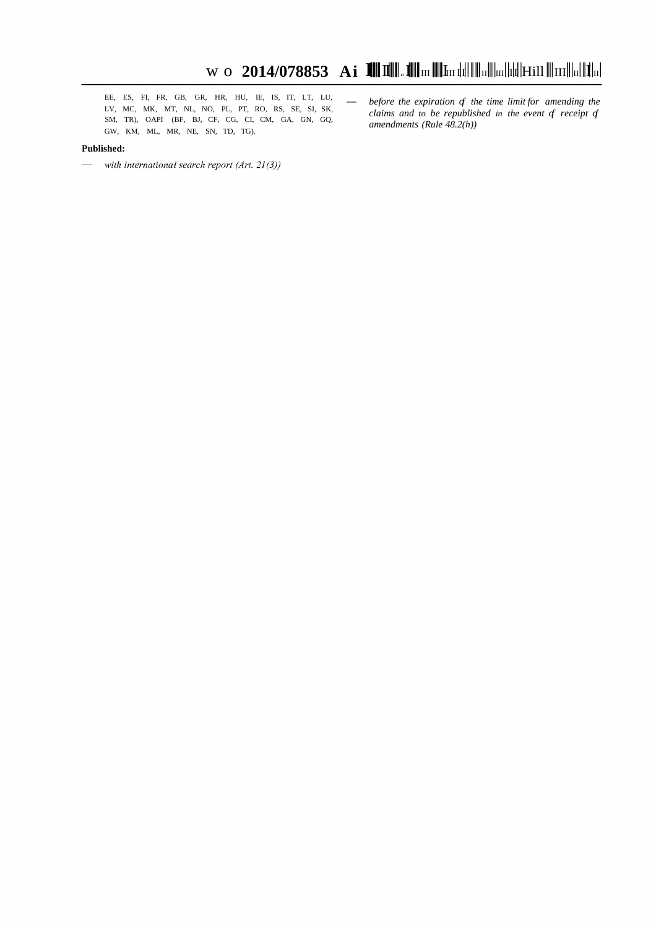EE, ES, FI, FR, GB, GR, HR, HU, IE, IS, IT, LT, LU,  $\longrightarrow$  before the expiration of the time limit for amending the LV, MC, MK, MT, NL, NO, PL, PT, RO, RS, SE, SI, SK,  $\longrightarrow$  alging and to be apprehished in the worth of possi SM, TR), OAPI (BF, BJ, CF, CG, CI, CM, GA, GN, GQ, GW, KM, ML, MR, NE, SN, TD, TG).

#### **Published:**

- $\hspace{1.6cm}$  with international search report (Art. 21(3))
- claims and to be republished in the event of receipt of amendments (Rule  $48.2(h)$ )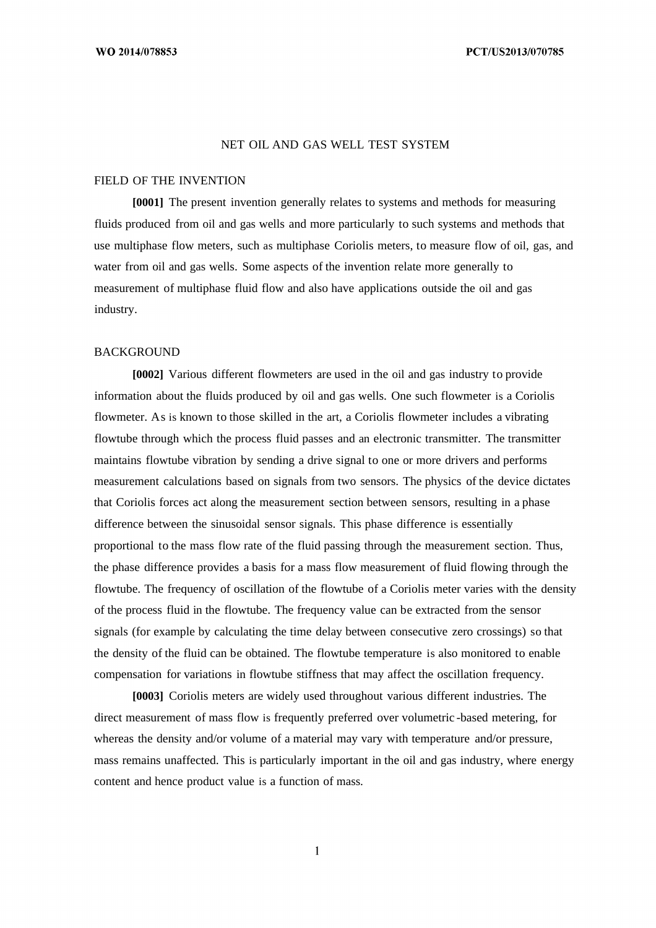#### NET OIL AND GAS WELL TEST SYSTEM

### FIELD OF THE INVENTION

**[0001]** The present invention generally relates to systems and methods for measuring fluids produced from oil and gas wells and more particularly to such systems and methods that use multiphase flow meters, such as multiphase Coriolis meters, to measure flow of oil, gas, and water from oil and gas wells. Some aspects of the invention relate more generally to measurement of multiphase fluid flow and also have applications outside the oil and gas industry.

### BACKGROUND

**[0002]** Various different flowmeters are used in the oil and gas industry to provide information about the fluids produced by oil and gas wells. One such flowmeter is a Coriolis flowmeter. As is known to those skilled in the art, a Coriolis flowmeter includes a vibrating flowtube through which the process fluid passes and an electronic transmitter. The transmitter maintains flowtube vibration by sending a drive signal to one or more drivers and performs measurement calculations based on signals from two sensors. The physics of the device dictates that Coriolis forces act along the measurement section between sensors, resulting in a phase difference between the sinusoidal sensor signals. This phase difference is essentially proportional to the mass flow rate of the fluid passing through the measurement section. Thus, the phase difference provides a basis for a mass flow measurement of fluid flowing through the flowtube. The frequency of oscillation of the flowtube of a Coriolis meter varies with the density of the process fluid in the flowtube. The frequency value can be extracted from the sensor signals (for example by calculating the time delay between consecutive zero crossings) so that the density of the fluid can be obtained. The flowtube temperature is also monitored to enable compensation for variations in flowtube stiffness that may affect the oscillation frequency.

**[0003]** Coriolis meters are widely used throughout various different industries. The direct measurement of mass flow is frequently preferred over volumetric -based metering, for whereas the density and/or volume of a material may vary with temperature and/or pressure, mass remains unaffected. This is particularly important in the oil and gas industry, where energy content and hence product value is a function of mass.

 $\mathbf{1}$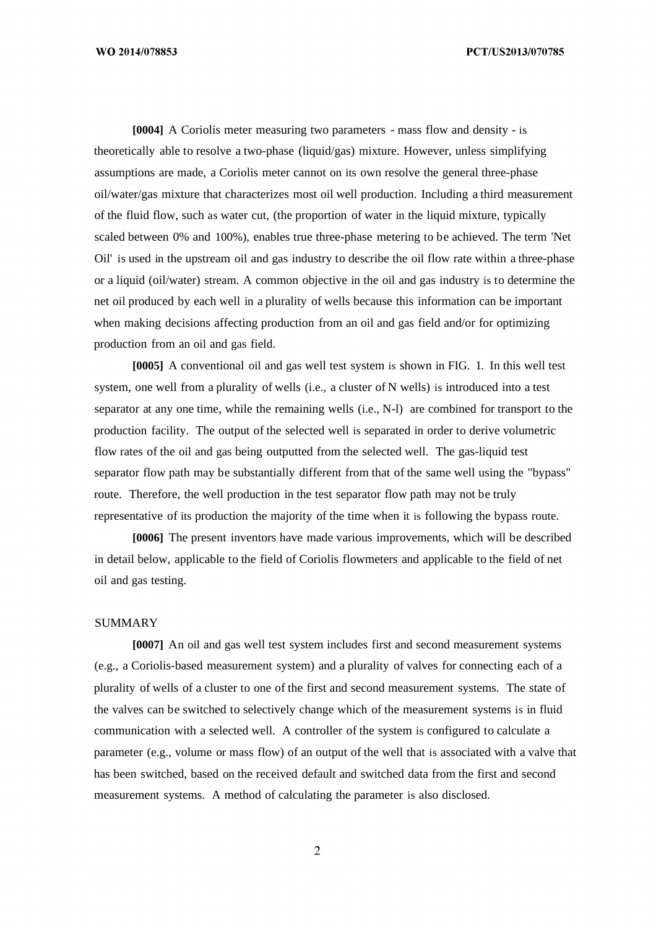PCT/US2013/070785

**[0004]** A Coriolis meter measuring two parameters - mass flow and density - is theoretically able to resolve a two-phase (liquid/gas) mixture. However, unless simplifying assumptions are made, a Coriolis meter cannot on its own resolve the general three-phase oil/water/gas mixture that characterizes most oil well production. Including a third measurement of the fluid flow, such as water cut, (the proportion of water in the liquid mixture, typically scaled between 0% and 100%), enables true three-phase metering to be achieved. The term 'Net Oil' is used in the upstream oil and gas industry to describe the oil flow rate within a three-phase or a liquid (oil/water) stream. A common objective in the oil and gas industry is to determine the net oil produced by each well in a plurality of wells because this information can be important when making decisions affecting production from an oil and gas field and/or for optimizing production from an oil and gas field.

**[0005]** A conventional oil and gas well test system is shown in FIG. 1. In this well test system, one well from a plurality of wells (i.e., a cluster of N wells) is introduced into a test separator at any one time, while the remaining wells (i.e., N-l) are combined for transport to the production facility. The output of the selected well is separated in order to derive volumetric flow rates of the oil and gas being outputted from the selected well. The gas-liquid test separator flow path may be substantially different from that of the same well using the "bypass" route. Therefore, the well production in the test separator flow path may not be truly representative of its production the majority of the time when it is following the bypass route.

**[0006]** The present inventors have made various improvements, which will be described in detail below, applicable to the field of Coriolis flowmeters and applicable to the field of net oil and gas testing.

### **SUMMARY**

**[0007]** An oil and gas well test system includes first and second measurement systems (e.g., a Coriolis-based measurement system) and a plurality of valves for connecting each of a plurality of wells of a cluster to one of the first and second measurement systems. The state of the valves can be switched to selectively change which of the measurement systems is in fluid communication with a selected well. A controller of the system is configured to calculate a parameter (e.g., volume or mass flow) of an output of the well that is associated with a valve that has been switched, based on the received default and switched data from the first and second measurement systems. A method of calculating the parameter is also disclosed.

 $\overline{2}$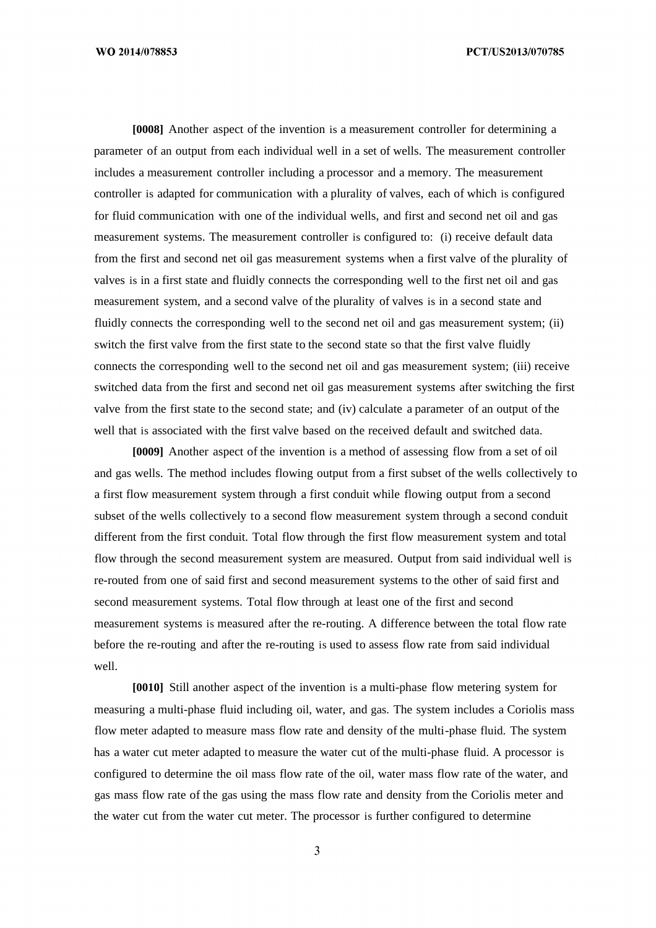PCT/US2013/070785

**[0008]** Another aspect of the invention is a measurement controller for determining a parameter of an output from each individual well in a set of wells. The measurement controller includes a measurement controller including a processor and a memory. The measurement controller is adapted for communication with a plurality of valves, each of which is configured for fluid communication with one of the individual wells, and first and second net oil and gas measurement systems. The measurement controller is configured to: (i) receive default data from the first and second net oil gas measurement systems when a first valve of the plurality of valves is in a first state and fluidly connects the corresponding well to the first net oil and gas measurement system, and a second valve of the plurality of valves is in a second state and fluidly connects the corresponding well to the second net oil and gas measurement system; (ii) switch the first valve from the first state to the second state so that the first valve fluidly connects the corresponding well to the second net oil and gas measurement system; (iii) receive switched data from the first and second net oil gas measurement systems after switching the first valve from the first state to the second state; and (iv) calculate a parameter of an output of the well that is associated with the first valve based on the received default and switched data.

**[0009]** Another aspect of the invention is a method of assessing flow from a set of oil and gas wells. The method includes flowing output from a first subset of the wells collectively to a first flow measurement system through a first conduit while flowing output from a second subset of the wells collectively to a second flow measurement system through a second conduit different from the first conduit. Total flow through the first flow measurement system and total flow through the second measurement system are measured. Output from said individual well is re-routed from one of said first and second measurement systems to the other of said first and second measurement systems. Total flow through at least one of the first and second measurement systems is measured after the re-routing. A difference between the total flow rate before the re-routing and after the re-routing is used to assess flow rate from said individual well.

**[0010]** Still another aspect of the invention is a multi-phase flow metering system for measuring a multi-phase fluid including oil, water, and gas. The system includes a Coriolis mass flow meter adapted to measure mass flow rate and density of the multi-phase fluid. The system has a water cut meter adapted to measure the water cut of the multi-phase fluid. A processor is configured to determine the oil mass flow rate of the oil, water mass flow rate of the water, and gas mass flow rate of the gas using the mass flow rate and density from the Coriolis meter and the water cut from the water cut meter. The processor is further configured to determine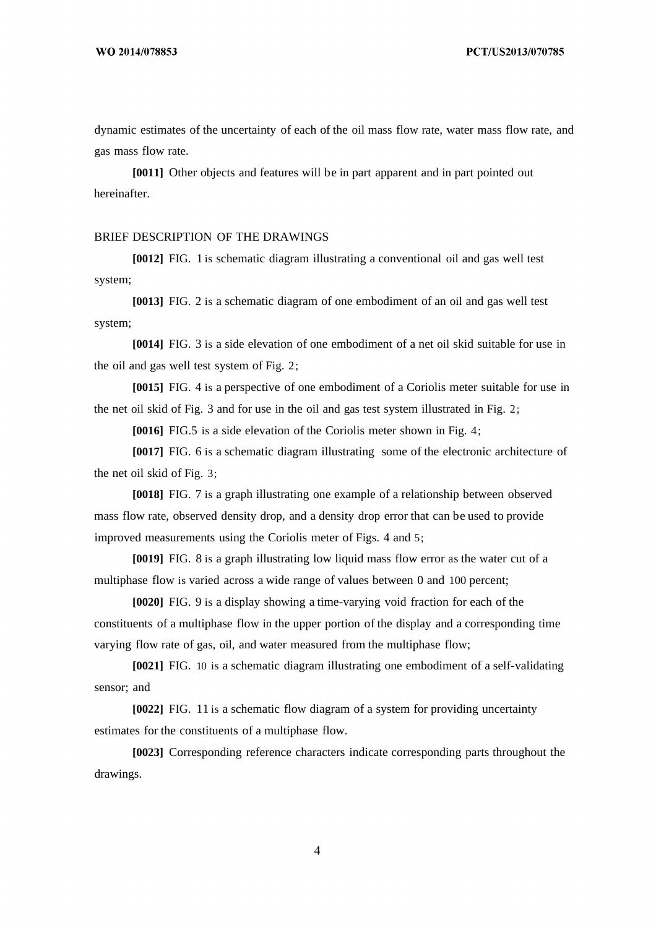dynamic estimates of the uncertainty of each of the oil mass flow rate, water mass flow rate, and gas mass flow rate.

**[0011]** Other objects and features will be in part apparent and in part pointed out hereinafter.

### BRIEF DESCRIPTION OF THE DRAWINGS

**[0012]** FIG. 1 is schematic diagram illustrating a conventional oil and gas well test system;

**[0013]** FIG. 2 is a schematic diagram of one embodiment of an oil and gas well test system;

**[0014]** FIG. 3 is a side elevation of one embodiment of a net oil skid suitable for use in the oil and gas well test system of Fig. 2;

**[0015]** FIG. 4 is a perspective of one embodiment of a Coriolis meter suitable for use in the net oil skid of Fig. 3 and for use in the oil and gas test system illustrated in Fig. 2;

**[0016]** FIG.5 is a side elevation of the Coriolis meter shown in Fig. 4;

**[0017]** FIG. 6 is a schematic diagram illustrating some of the electronic architecture of the net oil skid of Fig. 3;

**[0018]** FIG. 7 is a graph illustrating one example of a relationship between observed mass flow rate, observed density drop, and a density drop error that can be used to provide improved measurements using the Coriolis meter of Figs. 4 and 5;

**[0019]** FIG. 8 is a graph illustrating low liquid mass flow error as the water cut of a multiphase flow is varied across a wide range of values between 0 and 100 percent;

**[0020]** FIG. 9 is a display showing a time-varying void fraction for each of the constituents of a multiphase flow in the upper portion of the display and a corresponding time varying flow rate of gas, oil, and water measured from the multiphase flow;

**[0021]** FIG. 10 is a schematic diagram illustrating one embodiment of a self-validating sensor; and

**[0022]** FIG. 11 is a schematic flow diagram of a system for providing uncertainty estimates for the constituents of a multiphase flow.

**[0023]** Corresponding reference characters indicate corresponding parts throughout the drawings.

 $\overline{4}$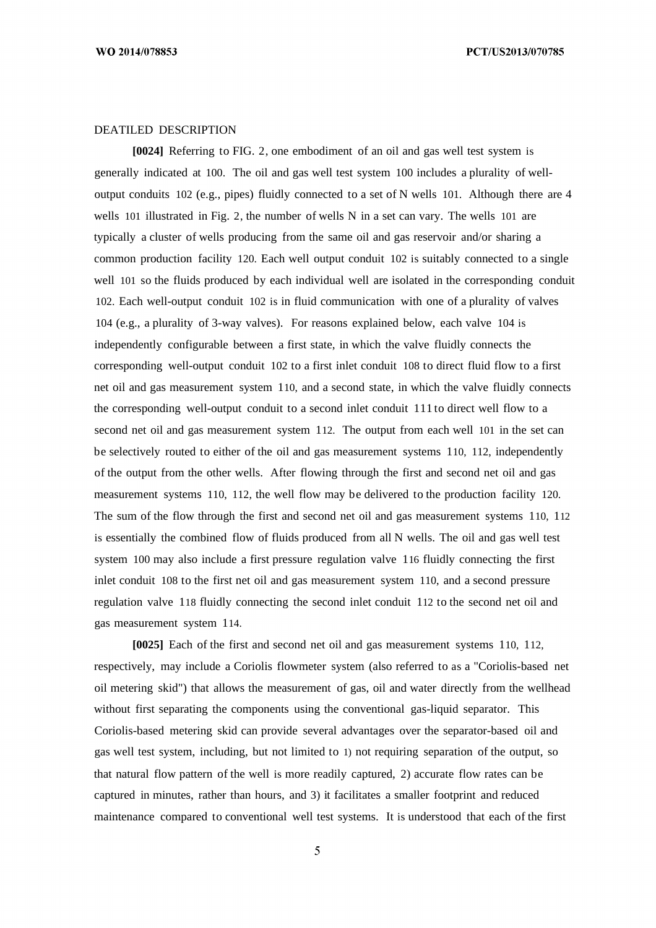PCT/US2013/070785

### DEATILED DESCRIPTION

**[0024]** Referring to FIG. 2, one embodiment of an oil and gas well test system is generally indicated at 100. The oil and gas well test system 100 includes a plurality of welloutput conduits 102 (e.g., pipes) fluidly connected to a set of N wells 101. Although there are 4 wells 101 illustrated in Fig. 2, the number of wells N in a set can vary. The wells 101 are typically a cluster of wells producing from the same oil and gas reservoir and/or sharing a common production facility 120. Each well output conduit 102 is suitably connected to a single well 101 so the fluids produced by each individual well are isolated in the corresponding conduit 102. Each well-output conduit 102 is in fluid communication with one of a plurality of valves 104 (e.g., a plurality of 3-way valves). For reasons explained below, each valve 104 is independently configurable between a first state, in which the valve fluidly connects the corresponding well-output conduit 102 to a first inlet conduit 108 to direct fluid flow to a first net oil and gas measurement system 110, and a second state, in which the valve fluidly connects the corresponding well-output conduit to a second inlet conduit 111 to direct well flow to a second net oil and gas measurement system 112. The output from each well 101 in the set can be selectively routed to either of the oil and gas measurement systems 110, 112, independently of the output from the other wells. After flowing through the first and second net oil and gas measurement systems 110, 112, the well flow may be delivered to the production facility 120. The sum of the flow through the first and second net oil and gas measurement systems 110, 112 is essentially the combined flow of fluids produced from all N wells. The oil and gas well test system 100 may also include a first pressure regulation valve 116 fluidly connecting the first inlet conduit 108 to the first net oil and gas measurement system 110, and a second pressure regulation valve 118 fluidly connecting the second inlet conduit 112 to the second net oil and gas measurement system 114.

**[0025]** Each of the first and second net oil and gas measurement systems 110, 112, respectively, may include a Coriolis flowmeter system (also referred to as a "Coriolis-based net oil metering skid") that allows the measurement of gas, oil and water directly from the wellhead without first separating the components using the conventional gas-liquid separator. This Coriolis-based metering skid can provide several advantages over the separator-based oil and gas well test system, including, but not limited to 1) not requiring separation of the output, so that natural flow pattern of the well is more readily captured, 2) accurate flow rates can be captured in minutes, rather than hours, and 3) it facilitates a smaller footprint and reduced maintenance compared to conventional well test systems. It is understood that each of the first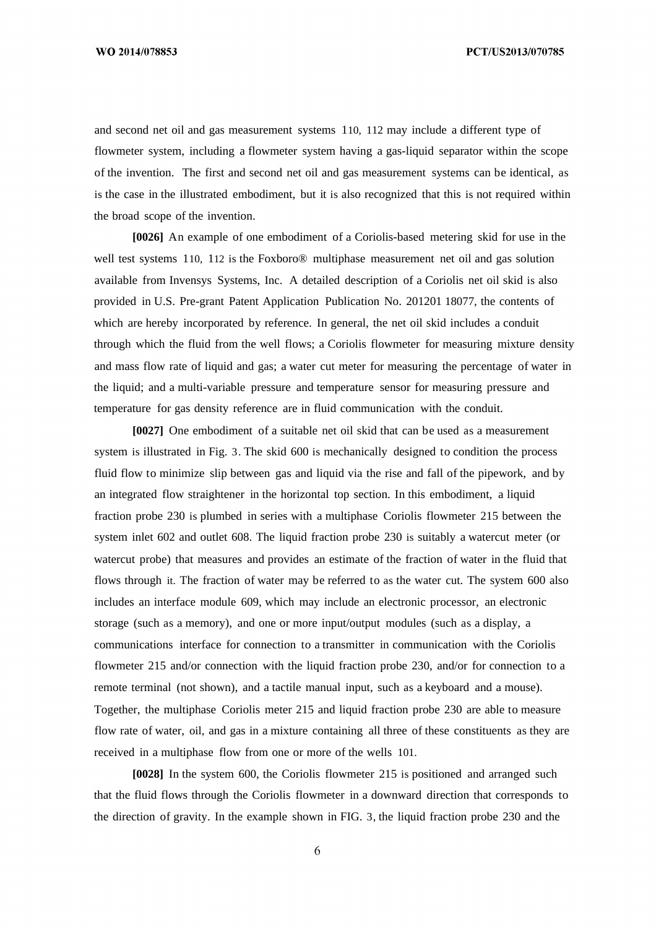PCT/US2013/070785

and second net oil and gas measurement systems 110, 112 may include a different type of flowmeter system, including a flowmeter system having a gas-liquid separator within the scope of the invention. The first and second net oil and gas measurement systems can be identical, as is the case in the illustrated embodiment, but it is also recognized that this is not required within the broad scope of the invention.

**[0026]** An example of one embodiment of a Coriolis-based metering skid for use in the well test systems 110, 112 is the Foxboro® multiphase measurement net oil and gas solution available from Invensys Systems, Inc. A detailed description of a Coriolis net oil skid is also provided in U.S. Pre-grant Patent Application Publication No. 201201 18077, the contents of which are hereby incorporated by reference. In general, the net oil skid includes a conduit through which the fluid from the well flows; a Coriolis flowmeter for measuring mixture density and mass flow rate of liquid and gas; a water cut meter for measuring the percentage of water in the liquid; and a multi-variable pressure and temperature sensor for measuring pressure and temperature for gas density reference are in fluid communication with the conduit.

**[0027]** One embodiment of a suitable net oil skid that can be used as a measurement system is illustrated in Fig. 3. The skid 600 is mechanically designed to condition the process fluid flow to minimize slip between gas and liquid via the rise and fall of the pipework, and by an integrated flow straightener in the horizontal top section. In this embodiment, a liquid fraction probe 230 is plumbed in series with a multiphase Coriolis flowmeter 215 between the system inlet 602 and outlet 608. The liquid fraction probe 230 is suitably a watercut meter (or watercut probe) that measures and provides an estimate of the fraction of water in the fluid that flows through it. The fraction of water may be referred to as the water cut. The system 600 also includes an interface module 609, which may include an electronic processor, an electronic storage (such as a memory), and one or more input/output modules (such as a display, a communications interface for connection to a transmitter in communication with the Coriolis flowmeter 215 and/or connection with the liquid fraction probe 230, and/or for connection to a remote terminal (not shown), and a tactile manual input, such as a keyboard and a mouse). Together, the multiphase Coriolis meter 215 and liquid fraction probe 230 are able to measure flow rate of water, oil, and gas in a mixture containing all three of these constituents as they are received in a multiphase flow from one or more of the wells 101.

**[0028]** In the system 600, the Coriolis flowmeter 215 is positioned and arranged such that the fluid flows through the Coriolis flowmeter in a downward direction that corresponds to the direction of gravity. In the example shown in FIG. 3, the liquid fraction probe 230 and the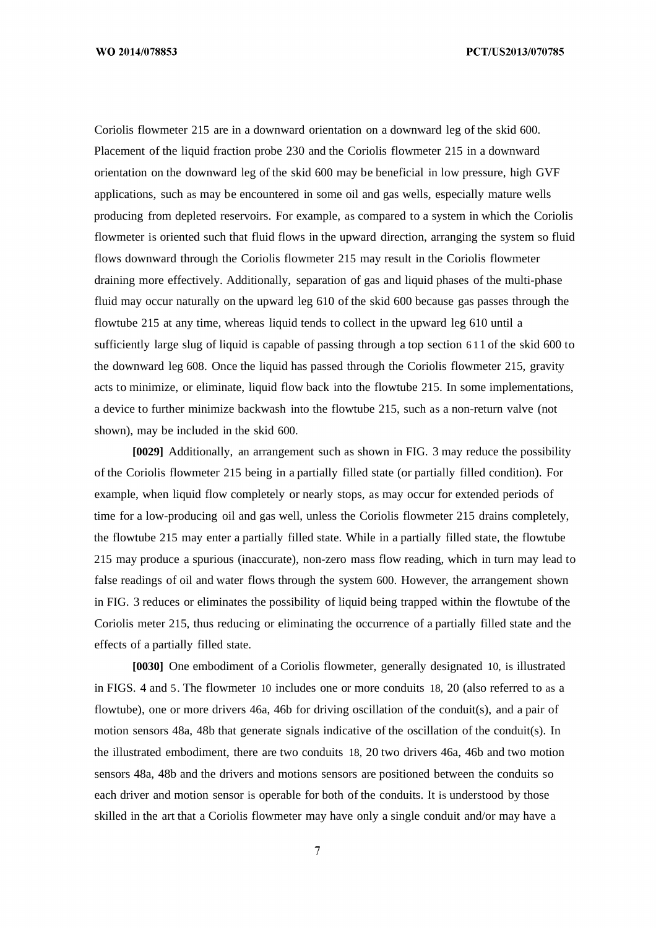Coriolis flowmeter 215 are in a downward orientation on a downward leg of the skid 600. Placement of the liquid fraction probe 230 and the Coriolis flowmeter 215 in a downward orientation on the downward leg of the skid 600 may be beneficial in low pressure, high GVF applications, such as may be encountered in some oil and gas wells, especially mature wells producing from depleted reservoirs. For example, as compared to a system in which the Coriolis flowmeter is oriented such that fluid flows in the upward direction, arranging the system so fluid flows downward through the Coriolis flowmeter 215 may result in the Coriolis flowmeter draining more effectively. Additionally, separation of gas and liquid phases of the multi-phase fluid may occur naturally on the upward leg 610 of the skid 600 because gas passes through the flowtube 215 at any time, whereas liquid tends to collect in the upward leg 610 until a sufficiently large slug of liquid is capable of passing through a top section 6 11 of the skid 600 to the downward leg 608. Once the liquid has passed through the Coriolis flowmeter 215, gravity acts to minimize, or eliminate, liquid flow back into the flowtube 215. In some implementations, a device to further minimize backwash into the flowtube 215, such as a non-return valve (not shown), may be included in the skid 600.

**[0029]** Additionally, an arrangement such as shown in FIG. 3 may reduce the possibility of the Coriolis flowmeter 215 being in a partially filled state (or partially filled condition). For example, when liquid flow completely or nearly stops, as may occur for extended periods of time for a low-producing oil and gas well, unless the Coriolis flowmeter 215 drains completely, the flowtube 215 may enter a partially filled state. While in a partially filled state, the flowtube 215 may produce a spurious (inaccurate), non-zero mass flow reading, which in turn may lead to false readings of oil and water flows through the system 600. However, the arrangement shown in FIG. 3 reduces or eliminates the possibility of liquid being trapped within the flowtube of the Coriolis meter 215, thus reducing or eliminating the occurrence of a partially filled state and the effects of a partially filled state.

**[0030]** One embodiment of a Coriolis flowmeter, generally designated 10, is illustrated in FIGS. 4 and 5. The flowmeter 10 includes one or more conduits 18, 20 (also referred to as a flowtube), one or more drivers 46a, 46b for driving oscillation of the conduit(s), and a pair of motion sensors 48a, 48b that generate signals indicative of the oscillation of the conduit(s). In the illustrated embodiment, there are two conduits 18, 20 two drivers 46a, 46b and two motion sensors 48a, 48b and the drivers and motions sensors are positioned between the conduits so each driver and motion sensor is operable for both of the conduits. It is understood by those skilled in the art that a Coriolis flowmeter may have only a single conduit and/or may have a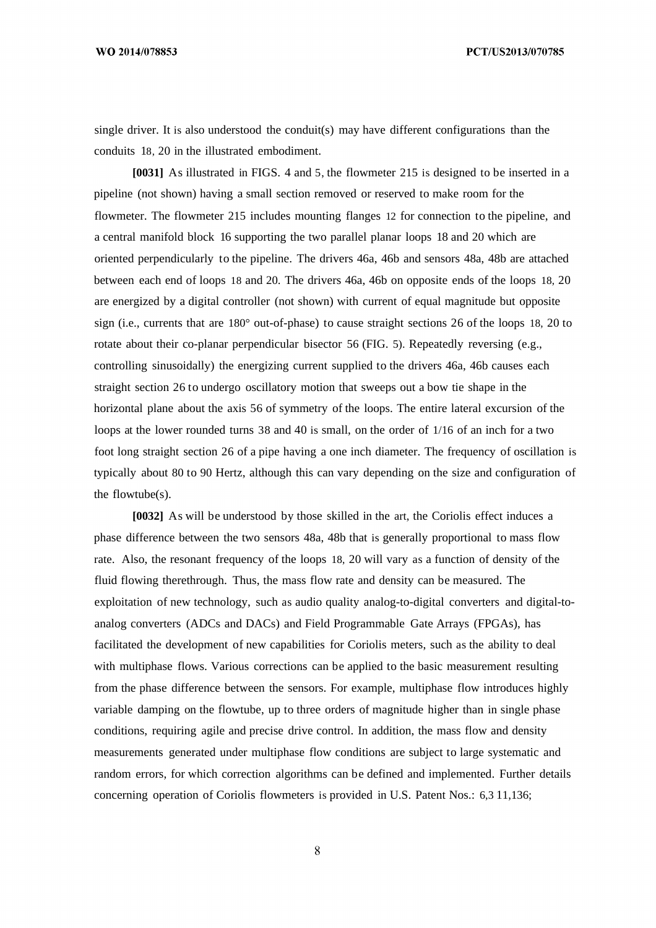PCT/US2013/070785

single driver. It is also understood the conduit(s) may have different configurations than the conduits 18, 20 in the illustrated embodiment.

**[0031]** As illustrated in FIGS. 4 and 5, the flowmeter 215 is designed to be inserted in a pipeline (not shown) having a small section removed or reserved to make room for the flowmeter. The flowmeter 215 includes mounting flanges 12 for connection to the pipeline, and a central manifold block 16 supporting the two parallel planar loops 18 and 20 which are oriented perpendicularly to the pipeline. The drivers 46a, 46b and sensors 48a, 48b are attached between each end of loops 18 and 20. The drivers 46a, 46b on opposite ends of the loops 18, 20 are energized by a digital controller (not shown) with current of equal magnitude but opposite sign (i.e., currents that are 180° out-of-phase) to cause straight sections 26 of the loops 18, 20 to rotate about their co-planar perpendicular bisector 56 (FIG. 5). Repeatedly reversing (e.g., controlling sinusoidally) the energizing current supplied to the drivers 46a, 46b causes each straight section 26 to undergo oscillatory motion that sweeps out a bow tie shape in the horizontal plane about the axis 56 of symmetry of the loops. The entire lateral excursion of the loops at the lower rounded turns 38 and 40 is small, on the order of 1/16 of an inch for a two foot long straight section 26 of a pipe having a one inch diameter. The frequency of oscillation is typically about 80 to 90 Hertz, although this can vary depending on the size and configuration of the flowtube(s).

**[0032]** As will be understood by those skilled in the art, the Coriolis effect induces a phase difference between the two sensors 48a, 48b that is generally proportional to mass flow rate. Also, the resonant frequency of the loops 18, 20 will vary as a function of density of the fluid flowing therethrough. Thus, the mass flow rate and density can be measured. The exploitation of new technology, such as audio quality analog-to-digital converters and digital-toanalog converters (ADCs and DACs) and Field Programmable Gate Arrays (FPGAs), has facilitated the development of new capabilities for Coriolis meters, such as the ability to deal with multiphase flows. Various corrections can be applied to the basic measurement resulting from the phase difference between the sensors. For example, multiphase flow introduces highly variable damping on the flowtube, up to three orders of magnitude higher than in single phase conditions, requiring agile and precise drive control. In addition, the mass flow and density measurements generated under multiphase flow conditions are subject to large systematic and random errors, for which correction algorithms can be defined and implemented. Further details concerning operation of Coriolis flowmeters is provided in U.S. Patent Nos.: 6,3 11,136;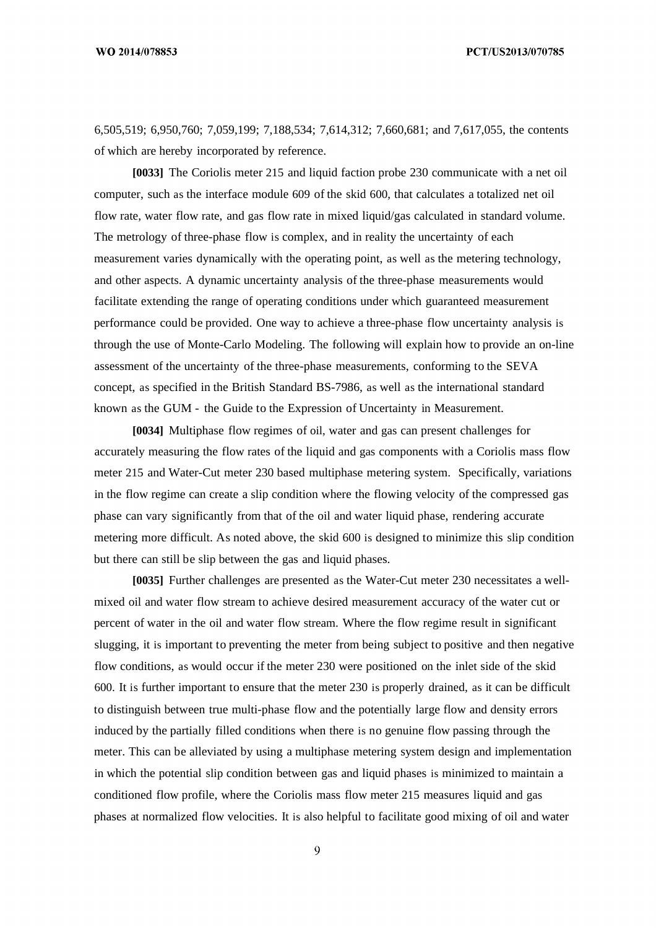PCT/US2013/070785

6,505,519; 6,950,760; 7,059,199; 7,188,534; 7,614,312; 7,660,681; and 7,617,055, the contents of which are hereby incorporated by reference.

**[0033]** The Coriolis meter 215 and liquid faction probe 230 communicate with a net oil computer, such as the interface module 609 of the skid 600, that calculates a totalized net oil flow rate, water flow rate, and gas flow rate in mixed liquid/gas calculated in standard volume. The metrology of three-phase flow is complex, and in reality the uncertainty of each measurement varies dynamically with the operating point, as well as the metering technology, and other aspects. A dynamic uncertainty analysis of the three-phase measurements would facilitate extending the range of operating conditions under which guaranteed measurement performance could be provided. One way to achieve a three-phase flow uncertainty analysis is through the use of Monte-Carlo Modeling. The following will explain how to provide an on-line assessment of the uncertainty of the three-phase measurements, conforming to the SEVA concept, as specified in the British Standard BS-7986, as well as the international standard known as the GUM - the Guide to the Expression of Uncertainty in Measurement.

**[0034]** Multiphase flow regimes of oil, water and gas can present challenges for accurately measuring the flow rates of the liquid and gas components with a Coriolis mass flow meter 215 and Water-Cut meter 230 based multiphase metering system. Specifically, variations in the flow regime can create a slip condition where the flowing velocity of the compressed gas phase can vary significantly from that of the oil and water liquid phase, rendering accurate metering more difficult. As noted above, the skid 600 is designed to minimize this slip condition but there can still be slip between the gas and liquid phases.

**[0035]** Further challenges are presented as the Water-Cut meter 230 necessitates a wellmixed oil and water flow stream to achieve desired measurement accuracy of the water cut or percent of water in the oil and water flow stream. Where the flow regime result in significant slugging, it is important to preventing the meter from being subject to positive and then negative flow conditions, as would occur if the meter 230 were positioned on the inlet side of the skid 600. It is further important to ensure that the meter 230 is properly drained, as it can be difficult to distinguish between true multi-phase flow and the potentially large flow and density errors induced by the partially filled conditions when there is no genuine flow passing through the meter. This can be alleviated by using a multiphase metering system design and implementation in which the potential slip condition between gas and liquid phases is minimized to maintain a conditioned flow profile, where the Coriolis mass flow meter 215 measures liquid and gas phases at normalized flow velocities. It is also helpful to facilitate good mixing of oil and water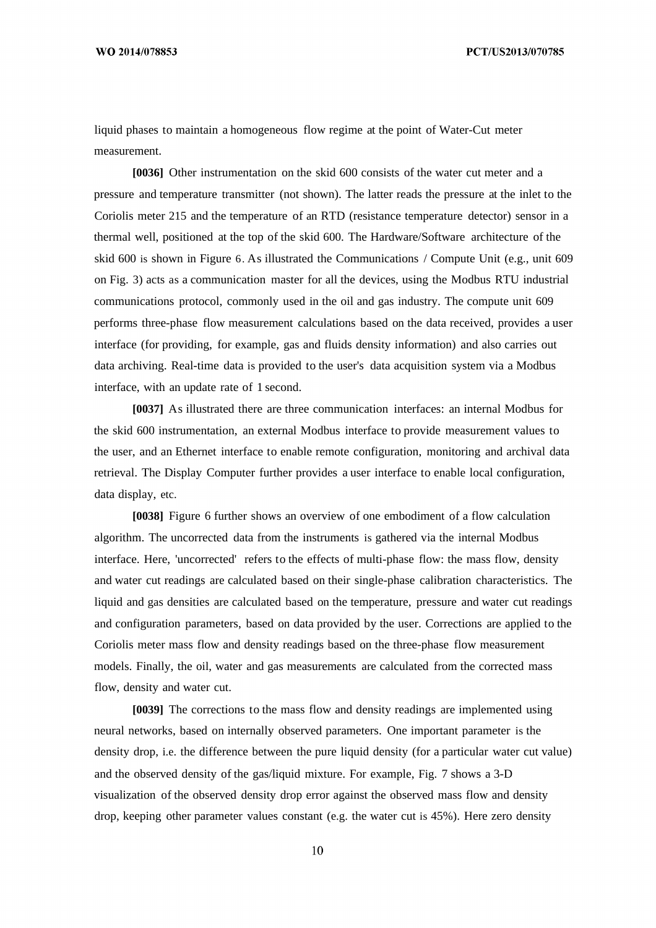liquid phases to maintain a homogeneous flow regime at the point of Water-Cut meter measurement.

**[0036]** Other instrumentation on the skid 600 consists of the water cut meter and a pressure and temperature transmitter (not shown). The latter reads the pressure at the inlet to the Coriolis meter 215 and the temperature of an RTD (resistance temperature detector) sensor in a thermal well, positioned at the top of the skid 600. The Hardware/Software architecture of the skid 600 is shown in Figure 6. As illustrated the Communications / Compute Unit (e.g., unit 609 on Fig. 3) acts as a communication master for all the devices, using the Modbus RTU industrial communications protocol, commonly used in the oil and gas industry. The compute unit 609 performs three-phase flow measurement calculations based on the data received, provides a user interface (for providing, for example, gas and fluids density information) and also carries out data archiving. Real-time data is provided to the user's data acquisition system via a Modbus interface, with an update rate of 1 second.

**[0037]** As illustrated there are three communication interfaces: an internal Modbus for the skid 600 instrumentation, an external Modbus interface to provide measurement values to the user, and an Ethernet interface to enable remote configuration, monitoring and archival data retrieval. The Display Computer further provides a user interface to enable local configuration, data display, etc.

**[0038]** Figure 6 further shows an overview of one embodiment of a flow calculation algorithm. The uncorrected data from the instruments is gathered via the internal Modbus interface. Here, 'uncorrected' refers to the effects of multi-phase flow: the mass flow, density and water cut readings are calculated based on their single-phase calibration characteristics. The liquid and gas densities are calculated based on the temperature, pressure and water cut readings and configuration parameters, based on data provided by the user. Corrections are applied to the Coriolis meter mass flow and density readings based on the three-phase flow measurement models. Finally, the oil, water and gas measurements are calculated from the corrected mass flow, density and water cut.

**[0039]** The corrections to the mass flow and density readings are implemented using neural networks, based on internally observed parameters. One important parameter is the density drop, i.e. the difference between the pure liquid density (for a particular water cut value) and the observed density of the gas/liquid mixture. For example, Fig. 7 shows a 3-D visualization of the observed density drop error against the observed mass flow and density drop, keeping other parameter values constant (e.g. the water cut is 45%). Here zero density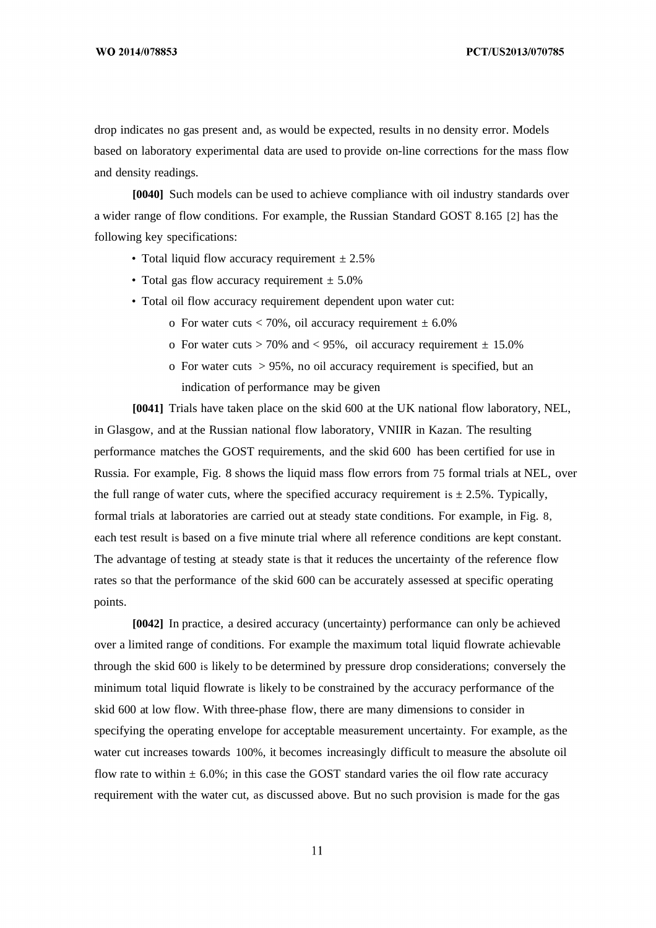drop indicates no gas present and, as would be expected, results in no density error. Models based on laboratory experimental data are used to provide on-line corrections for the mass flow and density readings.

**[0040]** Such models can be used to achieve compliance with oil industry standards over a wider range of flow conditions. For example, the Russian Standard GOST 8.165 [2] has the following key specifications:

- Total liquid flow accuracy requirement  $\pm 2.5\%$
- Total gas flow accuracy requirement  $\pm$  5.0%
- Total oil flow accuracy requirement dependent upon water cut:
	- o For water cuts  $< 70\%$ , oil accuracy requirement  $\pm 6.0\%$
	- o For water cuts  $> 70\%$  and  $< 95\%$ , oil accuracy requirement  $\pm 15.0\%$
	- o For water cuts > 95%, no oil accuracy requirement is specified, but an indication of performance may be given

**[0041]** Trials have taken place on the skid 600 at the UK national flow laboratory, NEL, in Glasgow, and at the Russian national flow laboratory, VNIIR in Kazan. The resulting performance matches the GOST requirements, and the skid 600 has been certified for use in Russia. For example, Fig. 8 shows the liquid mass flow errors from 75 formal trials at NEL, over the full range of water cuts, where the specified accuracy requirement is  $\pm 2.5\%$ . Typically, formal trials at laboratories are carried out at steady state conditions. For example, in Fig. 8, each test result is based on a five minute trial where all reference conditions are kept constant. The advantage of testing at steady state is that it reduces the uncertainty of the reference flow rates so that the performance of the skid 600 can be accurately assessed at specific operating points.

**[0042]** In practice, a desired accuracy (uncertainty) performance can only be achieved over a limited range of conditions. For example the maximum total liquid flowrate achievable through the skid 600 is likely to be determined by pressure drop considerations; conversely the minimum total liquid flowrate is likely to be constrained by the accuracy performance of the skid 600 at low flow. With three-phase flow, there are many dimensions to consider in specifying the operating envelope for acceptable measurement uncertainty. For example, as the water cut increases towards 100%, it becomes increasingly difficult to measure the absolute oil flow rate to within  $\pm$  6.0%; in this case the GOST standard varies the oil flow rate accuracy requirement with the water cut, as discussed above. But no such provision is made for the gas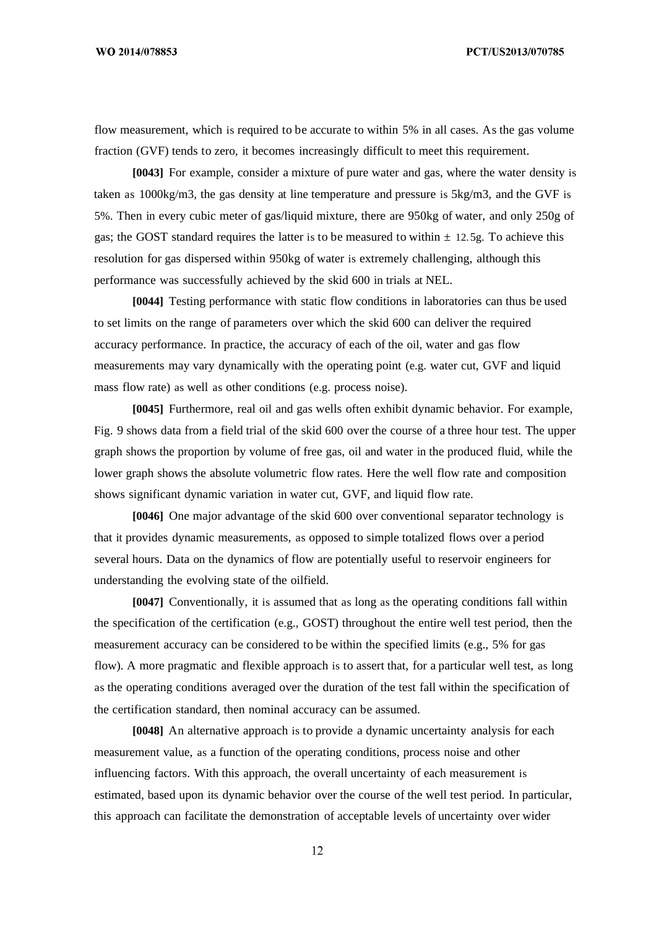flow measurement, which is required to be accurate to within 5% in all cases. As the gas volume fraction (GVF) tends to zero, it becomes increasingly difficult to meet this requirement.

**[0043]** For example, consider a mixture of pure water and gas, where the water density is taken as  $1000\text{kg/m}$ 3, the gas density at line temperature and pressure is  $5\text{kg/m}$ 3, and the GVF is 5%. Then in every cubic meter of gas/liquid mixture, there are 950kg of water, and only 250g of gas; the GOST standard requires the latter is to be measured to within  $\pm$  12.5g. To achieve this resolution for gas dispersed within 950kg of water is extremely challenging, although this performance was successfully achieved by the skid 600 in trials at NEL.

**[0044]** Testing performance with static flow conditions in laboratories can thus be used to set limits on the range of parameters over which the skid 600 can deliver the required accuracy performance. In practice, the accuracy of each of the oil, water and gas flow measurements may vary dynamically with the operating point (e.g. water cut, GVF and liquid mass flow rate) as well as other conditions (e.g. process noise).

**[0045]** Furthermore, real oil and gas wells often exhibit dynamic behavior. For example, Fig. 9 shows data from a field trial of the skid 600 over the course of a three hour test. The upper graph shows the proportion by volume of free gas, oil and water in the produced fluid, while the lower graph shows the absolute volumetric flow rates. Here the well flow rate and composition shows significant dynamic variation in water cut, GVF, and liquid flow rate.

**[0046]** One major advantage of the skid 600 over conventional separator technology is that it provides dynamic measurements, as opposed to simple totalized flows over a period several hours. Data on the dynamics of flow are potentially useful to reservoir engineers for understanding the evolving state of the oilfield.

**[0047]** Conventionally, it is assumed that as long as the operating conditions fall within the specification of the certification (e.g., GOST) throughout the entire well test period, then the measurement accuracy can be considered to be within the specified limits (e.g., 5% for gas flow). A more pragmatic and flexible approach is to assert that, for a particular well test, as long as the operating conditions averaged over the duration of the test fall within the specification of the certification standard, then nominal accuracy can be assumed.

**[0048]** An alternative approach is to provide a dynamic uncertainty analysis for each measurement value, as a function of the operating conditions, process noise and other influencing factors. With this approach, the overall uncertainty of each measurement is estimated, based upon its dynamic behavior over the course of the well test period. In particular, this approach can facilitate the demonstration of acceptable levels of uncertainty over wider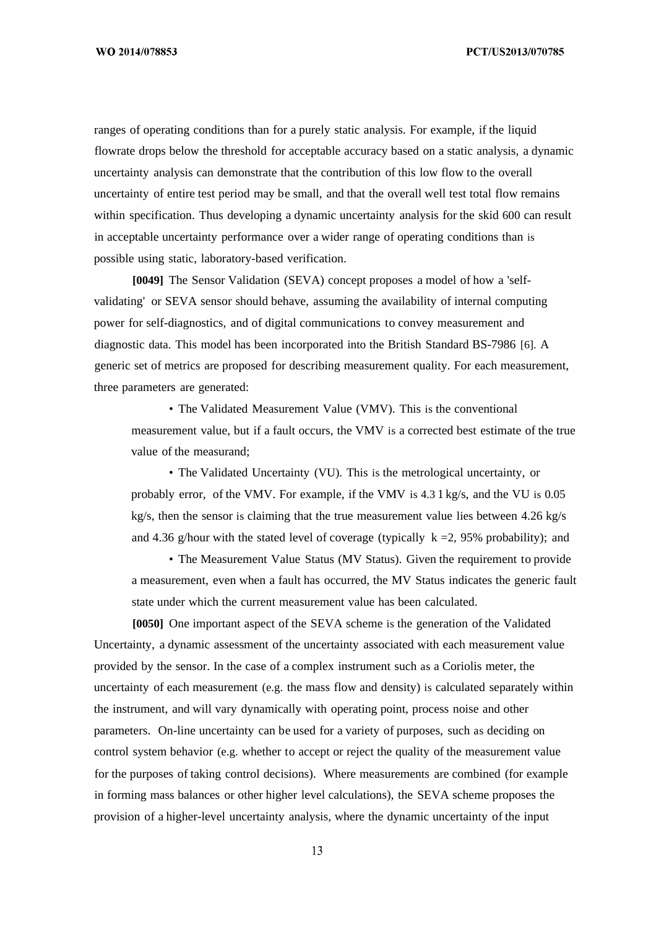PCT/US2013/070785

ranges of operating conditions than for a purely static analysis. For example, if the liquid flowrate drops below the threshold for acceptable accuracy based on a static analysis, a dynamic uncertainty analysis can demonstrate that the contribution of this low flow to the overall uncertainty of entire test period may be small, and that the overall well test total flow remains within specification. Thus developing a dynamic uncertainty analysis for the skid 600 can result in acceptable uncertainty performance over a wider range of operating conditions than is possible using static, laboratory-based verification.

**[0049]** The Sensor Validation (SEVA) concept proposes a model of how a 'selfvalidating' or SEVA sensor should behave, assuming the availability of internal computing power for self-diagnostics, and of digital communications to convey measurement and diagnostic data. This model has been incorporated into the British Standard BS-7986 [6]. A generic set of metrics are proposed for describing measurement quality. For each measurement, three parameters are generated:

• The Validated Measurement Value (VMV). This is the conventional measurement value, but if a fault occurs, the VMV is a corrected best estimate of the true value of the measurand;

• The Validated Uncertainty (VU). This is the metrological uncertainty, or probably error, of the VMV. For example, if the VMV is 4.3 1 kg/s, and the VU is 0.05  $kg/s$ , then the sensor is claiming that the true measurement value lies between  $4.26 \text{ kg/s}$ and 4.36 g/hour with the stated level of coverage (typically  $k = 2$ , 95% probability); and

• The Measurement Value Status (MV Status). Given the requirement to provide a measurement, even when a fault has occurred, the MV Status indicates the generic fault state under which the current measurement value has been calculated.

**[0050]** One important aspect of the SEVA scheme is the generation of the Validated Uncertainty, a dynamic assessment of the uncertainty associated with each measurement value provided by the sensor. In the case of a complex instrument such as a Coriolis meter, the uncertainty of each measurement (e.g. the mass flow and density) is calculated separately within the instrument, and will vary dynamically with operating point, process noise and other parameters. On-line uncertainty can be used for a variety of purposes, such as deciding on control system behavior (e.g. whether to accept or reject the quality of the measurement value for the purposes of taking control decisions). Where measurements are combined (for example in forming mass balances or other higher level calculations), the SEVA scheme proposes the provision of a higher-level uncertainty analysis, where the dynamic uncertainty of the input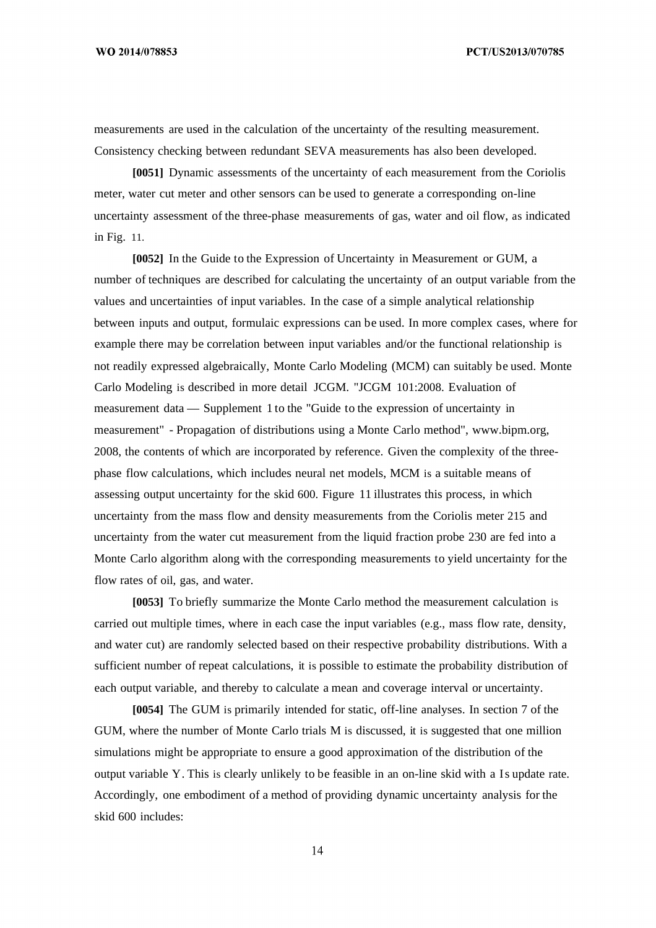PCT/US2013/070785

measurements are used in the calculation of the uncertainty of the resulting measurement. Consistency checking between redundant SEVA measurements has also been developed.

**[0051]** Dynamic assessments of the uncertainty of each measurement from the Coriolis meter, water cut meter and other sensors can be used to generate a corresponding on-line uncertainty assessment of the three-phase measurements of gas, water and oil flow, as indicated in Fig. 11.

**[0052]** In the Guide to the Expression of Uncertainty in Measurement or GUM, a number of techniques are described for calculating the uncertainty of an output variable from the values and uncertainties of input variables. In the case of a simple analytical relationship between inputs and output, formulaic expressions can be used. In more complex cases, where for example there may be correlation between input variables and/or the functional relationship is not readily expressed algebraically, Monte Carlo Modeling (MCM) can suitably be used. Monte Carlo Modeling is described in more detail JCGM. "JCGM 101:2008. Evaluation of measurement data — Supplement 1 to the "Guide to the expression of uncertainty in measurement" - Propagation of distributions using a Monte Carlo method", www.bipm.org, 2008, the contents of which are incorporated by reference. Given the complexity of the threephase flow calculations, which includes neural net models, MCM is a suitable means of assessing output uncertainty for the skid 600. Figure 11 illustrates this process, in which uncertainty from the mass flow and density measurements from the Coriolis meter 215 and uncertainty from the water cut measurement from the liquid fraction probe 230 are fed into a Monte Carlo algorithm along with the corresponding measurements to yield uncertainty for the flow rates of oil, gas, and water.

**[0053]** To briefly summarize the Monte Carlo method the measurement calculation is carried out multiple times, where in each case the input variables (e.g., mass flow rate, density, and water cut) are randomly selected based on their respective probability distributions. With a sufficient number of repeat calculations, it is possible to estimate the probability distribution of each output variable, and thereby to calculate a mean and coverage interval or uncertainty.

**[0054]** The GUM is primarily intended for static, off-line analyses. In section 7 of the GUM, where the number of Monte Carlo trials M is discussed, it is suggested that one million simulations might be appropriate to ensure a good approximation of the distribution of the output variable Y. This is clearly unlikely to be feasible in an on-line skid with a Is update rate. Accordingly, one embodiment of a method of providing dynamic uncertainty analysis for the skid 600 includes: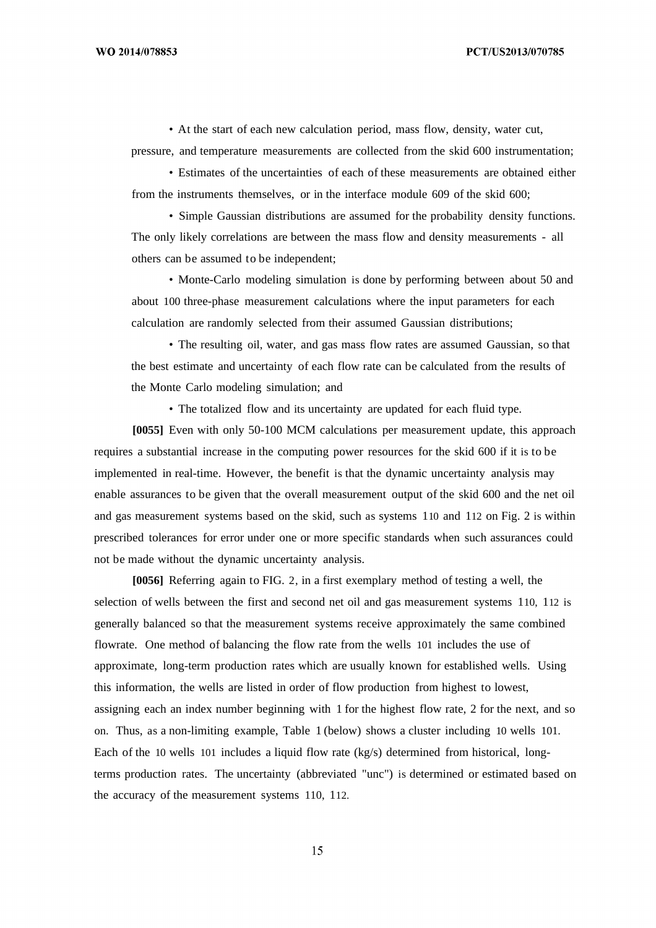• At the start of each new calculation period, mass flow, density, water cut,

pressure, and temperature measurements are collected from the skid 600 instrumentation;

• Estimates of the uncertainties of each of these measurements are obtained either from the instruments themselves, or in the interface module 609 of the skid 600;

• Simple Gaussian distributions are assumed for the probability density functions. The only likely correlations are between the mass flow and density measurements - all others can be assumed to be independent;

• Monte-Carlo modeling simulation is done by performing between about 50 and about 100 three-phase measurement calculations where the input parameters for each calculation are randomly selected from their assumed Gaussian distributions;

• The resulting oil, water, and gas mass flow rates are assumed Gaussian, so that the best estimate and uncertainty of each flow rate can be calculated from the results of the Monte Carlo modeling simulation; and

• The totalized flow and its uncertainty are updated for each fluid type.

**[0055]** Even with only 50-100 MCM calculations per measurement update, this approach requires a substantial increase in the computing power resources for the skid 600 if it is to be implemented in real-time. However, the benefit is that the dynamic uncertainty analysis may enable assurances to be given that the overall measurement output of the skid 600 and the net oil and gas measurement systems based on the skid, such as systems 110 and 112 on Fig. 2 is within prescribed tolerances for error under one or more specific standards when such assurances could not be made without the dynamic uncertainty analysis.

**[0056]** Referring again to FIG. 2, in a first exemplary method of testing a well, the selection of wells between the first and second net oil and gas measurement systems 110, 112 is generally balanced so that the measurement systems receive approximately the same combined flowrate. One method of balancing the flow rate from the wells 101 includes the use of approximate, long-term production rates which are usually known for established wells. Using this information, the wells are listed in order of flow production from highest to lowest, assigning each an index number beginning with 1 for the highest flow rate, 2 for the next, and so on. Thus, as a non-limiting example, Table 1 (below) shows a cluster including 10 wells 101. Each of the 10 wells 101 includes a liquid flow rate (kg/s) determined from historical, longterms production rates. The uncertainty (abbreviated "unc") is determined or estimated based on the accuracy of the measurement systems 110, 112.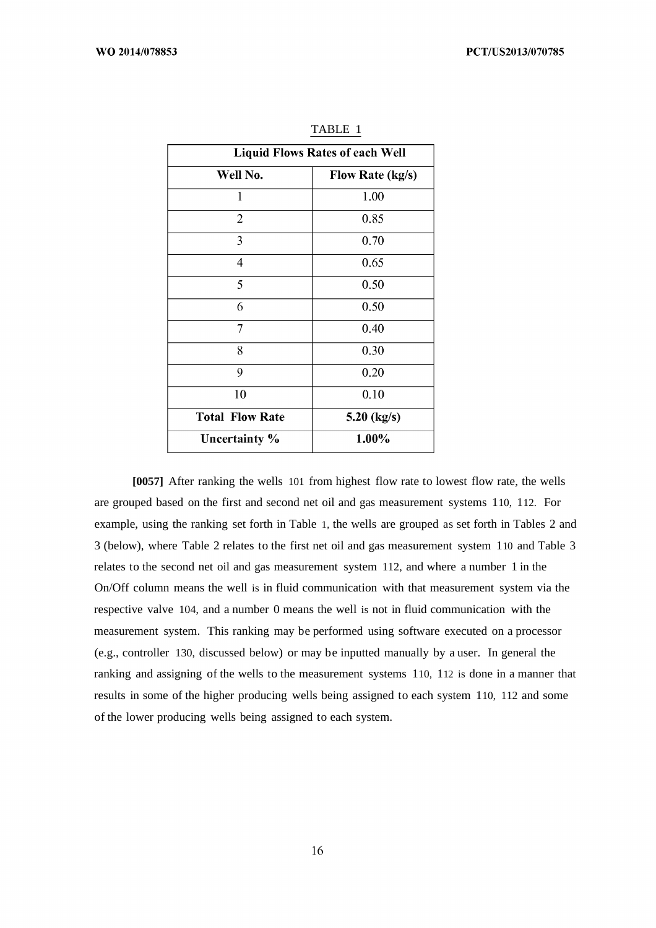| <b>Liquid Flows Rates of each Well</b> |                         |  |  |
|----------------------------------------|-------------------------|--|--|
| Well No.                               | <b>Flow Rate (kg/s)</b> |  |  |
| 1                                      | 1.00                    |  |  |
| $\overline{2}$                         | 0.85                    |  |  |
| 3                                      | 0.70                    |  |  |
| 4                                      | 0.65                    |  |  |
| 5                                      | 0.50                    |  |  |
| 6                                      | 0.50                    |  |  |
| 7                                      | 0.40                    |  |  |
| 8                                      | 0.30                    |  |  |
| 9                                      | 0.20                    |  |  |
| 10                                     | 0.10                    |  |  |
| <b>Total Flow Rate</b>                 | 5.20 $(kg/s)$           |  |  |
| Uncertainty %                          | 1.00%                   |  |  |

TABLE 1

**[0057]** After ranking the wells 101 from highest flow rate to lowest flow rate, the wells are grouped based on the first and second net oil and gas measurement systems 110, 112. For example, using the ranking set forth in Table 1, the wells are grouped as set forth in Tables 2 and 3 (below), where Table 2 relates to the first net oil and gas measurement system 110 and Table 3 relates to the second net oil and gas measurement system 112, and where a number 1 in the On/Off column means the well is in fluid communication with that measurement system via the respective valve 104, and a number 0 means the well is not in fluid communication with the measurement system. This ranking may be performed using software executed on a processor (e.g., controller 130, discussed below) or may be inputted manually by a user. In general the ranking and assigning of the wells to the measurement systems 110, 112 is done in a manner that results in some of the higher producing wells being assigned to each system 110, 112 and some of the lower producing wells being assigned to each system.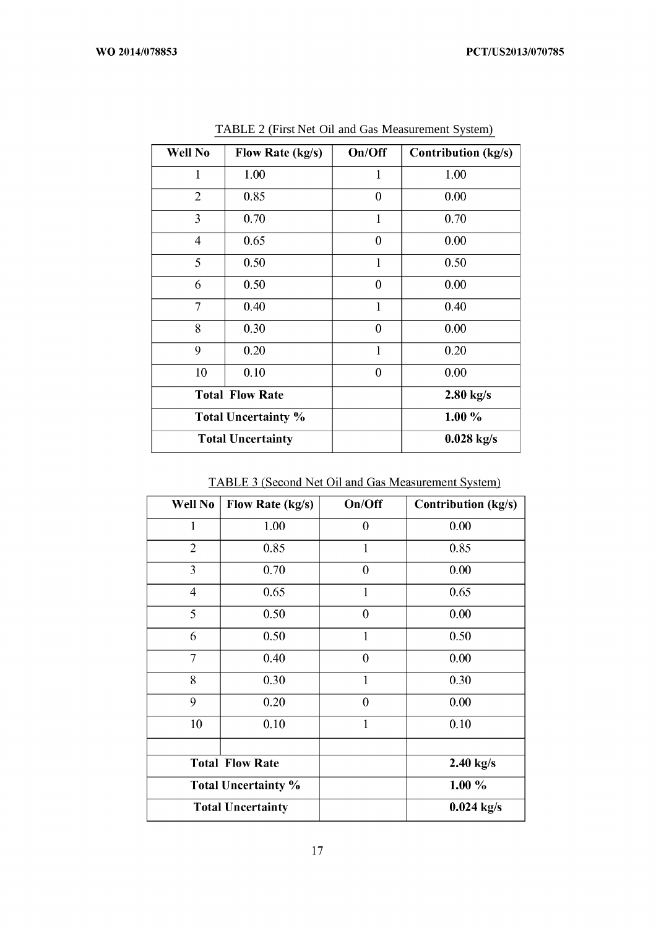| Well No        | Flow Rate (kg/s)           | On/Off       | <b>Contribution (kg/s)</b> |
|----------------|----------------------------|--------------|----------------------------|
| 1              | 1.00                       | 1            | 1.00                       |
| $\overline{2}$ | 0.85                       | $\mathbf{0}$ | 0.00                       |
| 3              | 0.70                       | $\mathbf{1}$ | 0.70                       |
| $\overline{4}$ | 0.65                       | $\mathbf{0}$ | 0.00                       |
| 5              | 0.50                       | $\mathbf{1}$ | 0.50                       |
| 6              | 0.50                       | $\theta$     | 0.00                       |
| $\overline{7}$ | 0.40                       | $\mathbf{1}$ | 0.40                       |
| 8              | 0.30                       | $\theta$     | 0.00                       |
| 9              | 0.20                       | $\mathbf{1}$ | 0.20                       |
| 10             | 0.10                       | $\mathbf{0}$ | 0.00                       |
|                | <b>Total Flow Rate</b>     |              | $2.80$ kg/s                |
|                | <b>Total Uncertainty %</b> |              | $1.00\%$                   |
|                | <b>Total Uncertainty</b>   |              | $0.028$ kg/s               |

TABLE 2 (First Net Oil and Gas Measurement System)

TABLE 3 (Second Net Oil and Gas Measurement System)

| Well No                    | Flow Rate (kg/s)       | On/Off           | <b>Contribution (kg/s)</b> |
|----------------------------|------------------------|------------------|----------------------------|
| 1                          | 1.00                   | $\mathbf{0}$     | 0.00                       |
| $\overline{2}$             | 0.85                   | 1                | 0.85                       |
| 3                          | 0.70                   | $\mathbf{0}$     | 0.00                       |
| 4                          | 0.65                   | 1                | 0.65                       |
| 5                          | 0.50                   | $\boldsymbol{0}$ | 0.00                       |
| 6                          | 0.50                   | 1                | 0.50                       |
| $\overline{7}$             | 0.40                   | $\boldsymbol{0}$ | 0.00                       |
| 8                          | 0.30                   | 1                | 0.30                       |
| 9                          | 0.20                   | $\mathbf{0}$     | 0.00                       |
| 10                         | 0.10                   | $\mathbf{1}$     | 0.10                       |
|                            | <b>Total Flow Rate</b> |                  | $2.40$ kg/s                |
| <b>Total Uncertainty %</b> |                        |                  | 1.00 %                     |
| <b>Total Uncertainty</b>   |                        |                  | $0.024 \text{ kg/s}$       |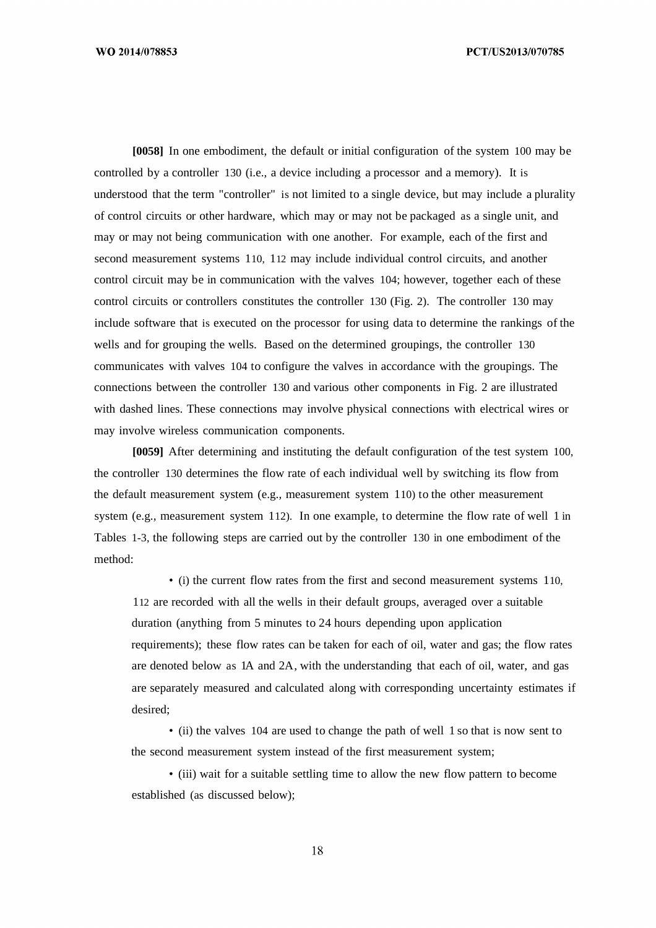**[0058]** In one embodiment, the default or initial configuration of the system 100 may be controlled by a controller 130 (i.e., a device including a processor and a memory). It is understood that the term "controller" is not limited to a single device, but may include a plurality of control circuits or other hardware, which may or may not be packaged as a single unit, and may or may not being communication with one another. For example, each of the first and second measurement systems 110, 112 may include individual control circuits, and another control circuit may be in communication with the valves 104; however, together each of these control circuits or controllers constitutes the controller 130 (Fig. 2). The controller 130 may include software that is executed on the processor for using data to determine the rankings of the wells and for grouping the wells. Based on the determined groupings, the controller 130 communicates with valves 104 to configure the valves in accordance with the groupings. The connections between the controller 130 and various other components in Fig. 2 are illustrated with dashed lines. These connections may involve physical connections with electrical wires or may involve wireless communication components.

**[0059]** After determining and instituting the default configuration of the test system 100, the controller 130 determines the flow rate of each individual well by switching its flow from the default measurement system (e.g., measurement system 110) to the other measurement system (e.g., measurement system 112). In one example, to determine the flow rate of well 1 in Tables 1-3, the following steps are carried out by the controller 130 in one embodiment of the method:

• (i) the current flow rates from the first and second measurement systems 110, 112 are recorded with all the wells in their default groups, averaged over a suitable duration (anything from 5 minutes to 24 hours depending upon application requirements); these flow rates can be taken for each of oil, water and gas; the flow rates are denoted below as 1A and 2A, with the understanding that each of oil, water, and gas are separately measured and calculated along with corresponding uncertainty estimates if desired;

• (ii) the valves 104 are used to change the path of well 1 so that is now sent to the second measurement system instead of the first measurement system;

• (iii) wait for a suitable settling time to allow the new flow pattern to become established (as discussed below);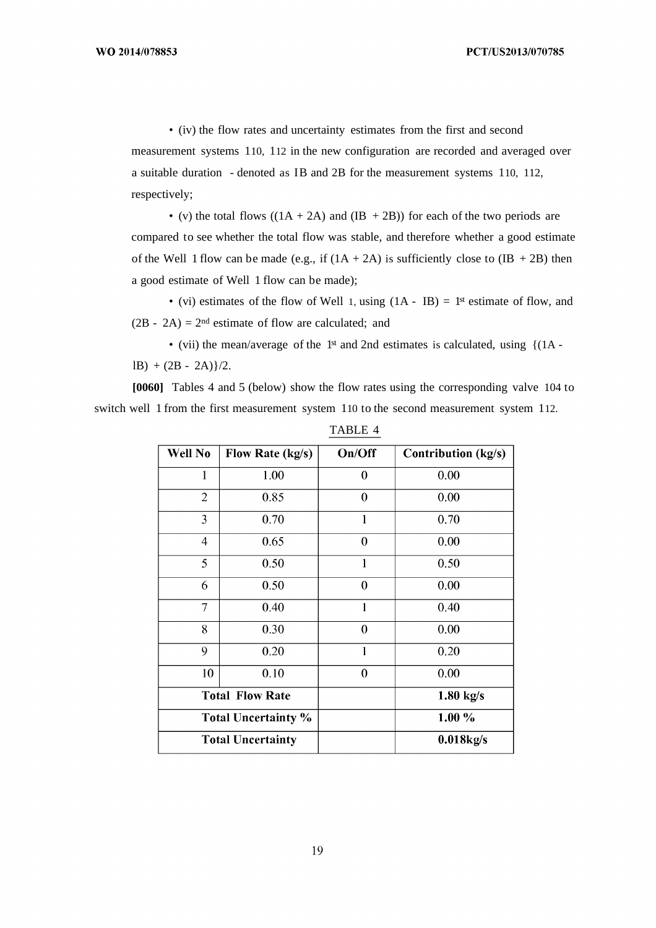• (iv) the flow rates and uncertainty estimates from the first and second measurement systems 110, 112 in the new configuration are recorded and averaged over a suitable duration - denoted as IB and 2B for the measurement systems 110, 112, respectively;

• (v) the total flows  $((1A + 2A)$  and  $(IB + 2B))$  for each of the two periods are compared to see whether the total flow was stable, and therefore whether a good estimate of the Well 1 flow can be made (e.g., if  $(1A + 2A)$ ) is sufficiently close to  $(IB + 2B)$  then a good estimate of Well 1 flow can be made);

• (vi) estimates of the flow of Well 1, using  $(1A - IB) = 1<sup>st</sup>$  estimate of flow, and  $(2B - 2A) = 2<sup>nd</sup>$  estimate of flow are calculated; and

• (vii) the mean/average of the 1<sup>st</sup> and 2nd estimates is calculated, using {(1A  $lB) + (2B - 2A)$  $/2$ .

**[0060]** Tables 4 and 5 (below) show the flow rates using the corresponding valve 104 to switch well 1 from the first measurement system 110 to the second measurement system 112.

| Well No                    | Flow Rate (kg/s) | On/Off         | <b>Contribution</b> (kg/s) |
|----------------------------|------------------|----------------|----------------------------|
|                            | 1.00             | 0              | 0.00                       |
| $\overline{2}$             | 0.85             | 0              | 0.00                       |
| 3                          | 0.70             | $\mathbf{1}$   | 0.70                       |
| $\overline{\mathcal{A}}$   | 0.65             | $\mathbf{0}$   | 0.00                       |
| 5                          | 0.50             | 1              | 0.50                       |
| 6                          | 0.50             | $\overline{0}$ | 0.00                       |
| 7                          | 0.40             | 1              | 0.40                       |
| 8                          | 0.30             | $\theta$       | 0.00                       |
| 9                          | 0.20             | $\mathbf{1}$   | 0.20                       |
| 10                         | 0.10             | $\overline{0}$ | 0.00                       |
| <b>Total Flow Rate</b>     |                  |                | $1.80$ kg/s                |
| <b>Total Uncertainty %</b> |                  |                | $1.00\%$                   |
| <b>Total Uncertainty</b>   |                  |                | $0.018$ kg/s               |

TABLE 4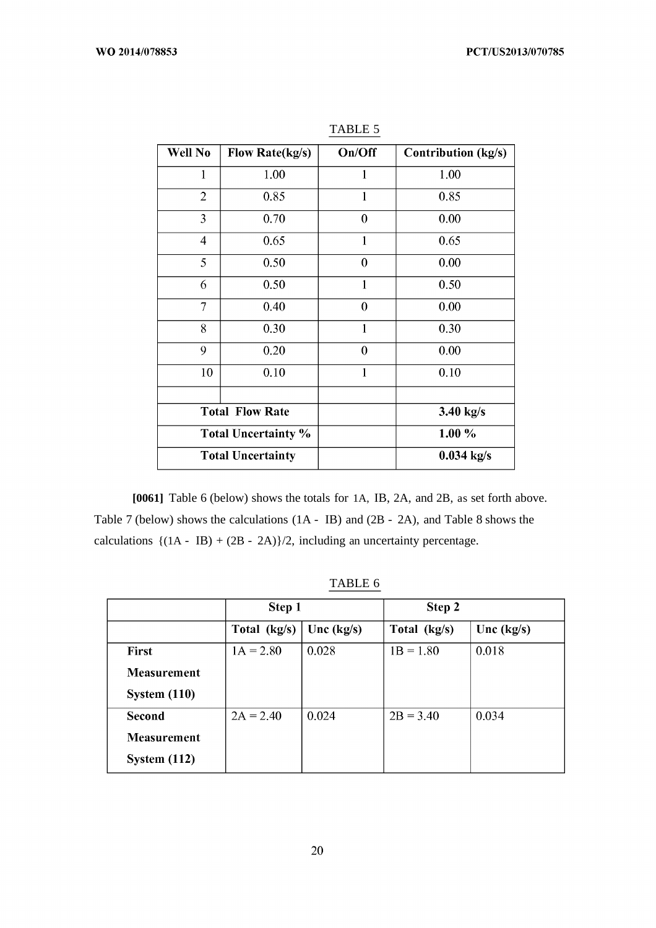| Well No                    | <b>Flow Rate(kg/s)</b> | On/Off           | Contribution (kg/s) |
|----------------------------|------------------------|------------------|---------------------|
| 1                          | 1.00                   | 1                | 1.00                |
| $\overline{2}$             | 0.85                   | 1                | 0.85                |
| 3                          | 0.70                   | $\boldsymbol{0}$ | 0.00                |
| $\overline{4}$             | 0.65                   | $\mathbf{1}$     | 0.65                |
| 5                          | 0.50                   | $\boldsymbol{0}$ | 0.00                |
| 6                          | 0.50                   | $\mathbf{1}$     | 0.50                |
| 7                          | 0.40                   | $\boldsymbol{0}$ | 0.00                |
| 8                          | 0.30                   | 1                | 0.30                |
| 9                          | 0.20                   | $\boldsymbol{0}$ | 0.00                |
| 10                         | 0.10                   | 1                | 0.10                |
|                            | <b>Total Flow Rate</b> |                  | $3.40$ kg/s         |
| <b>Total Uncertainty %</b> |                        |                  | $1.00\%$            |
| <b>Total Uncertainty</b>   |                        |                  | $0.034$ kg/s        |

TABLE 5

**[0061]** Table 6 (below) shows the totals for 1A, IB, 2A, and 2B, as set forth above. Table 7 (below) shows the calculations (1A - IB) and (2B - 2A), and Table 8 shows the calculations  $\{(1A - IB) + (2B - 2A)\}/2$ , including an uncertainty percentage.

|  | ABL |  |  |
|--|-----|--|--|
|--|-----|--|--|

|                    | Step 1       |              | Step 2       |              |
|--------------------|--------------|--------------|--------------|--------------|
|                    | Total (kg/s) | Unc $(kg/s)$ | Total (kg/s) | Unc $(kg/s)$ |
| <b>First</b>       | $1A = 2.80$  | 0.028        | $1B = 1.80$  | 0.018        |
| <b>Measurement</b> |              |              |              |              |
| System $(110)$     |              |              |              |              |
| Second             | $2A = 2.40$  | 0.024        | $2B = 3.40$  | 0.034        |
| <b>Measurement</b> |              |              |              |              |
| System $(112)$     |              |              |              |              |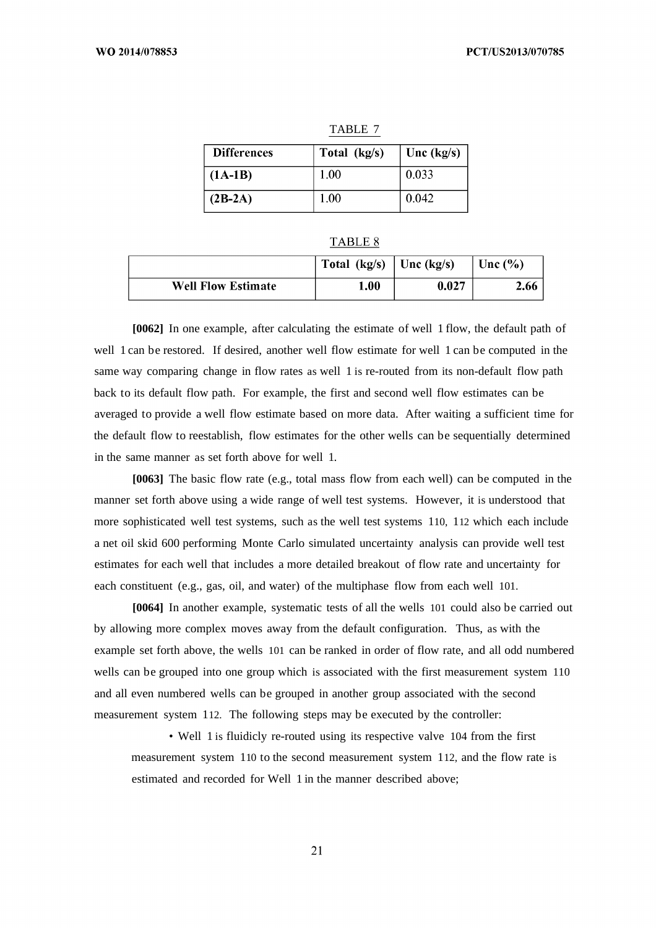| <b>Differences</b> | Total (kg/s) | Unc $(kg/s)$ |
|--------------------|--------------|--------------|
| $(AA-B)$           | 1.00         | 0.033        |
| $(2B-2A)$          | 1.00         | 0.042        |

| ABL. |  |
|------|--|
|      |  |

TABLE 7

|                           | Total (kg/s) | $\text{Unc}(\text{kg/s})$ | Unc $(\% )$ |
|---------------------------|--------------|---------------------------|-------------|
| <b>Well Flow Estimate</b> | 1.00         | 0.027                     | 2.66        |

**[0062]** In one example, after calculating the estimate of well 1 flow, the default path of well 1 can be restored. If desired, another well flow estimate for well 1 can be computed in the same way comparing change in flow rates as well 1 is re-routed from its non-default flow path back to its default flow path. For example, the first and second well flow estimates can be averaged to provide a well flow estimate based on more data. After waiting a sufficient time for the default flow to reestablish, flow estimates for the other wells can be sequentially determined in the same manner as set forth above for well 1.

**[0063]** The basic flow rate (e.g., total mass flow from each well) can be computed in the manner set forth above using a wide range of well test systems. However, it is understood that more sophisticated well test systems, such as the well test systems 110, 112 which each include a net oil skid 600 performing Monte Carlo simulated uncertainty analysis can provide well test estimates for each well that includes a more detailed breakout of flow rate and uncertainty for each constituent (e.g., gas, oil, and water) of the multiphase flow from each well 101.

**[0064]** In another example, systematic tests of all the wells 101 could also be carried out by allowing more complex moves away from the default configuration. Thus, as with the example set forth above, the wells 101 can be ranked in order of flow rate, and all odd numbered wells can be grouped into one group which is associated with the first measurement system 110 and all even numbered wells can be grouped in another group associated with the second measurement system 112. The following steps may be executed by the controller:

• Well 1 is fluidicly re-routed using its respective valve 104 from the first measurement system 110 to the second measurement system 112, and the flow rate is estimated and recorded for Well 1 in the manner described above;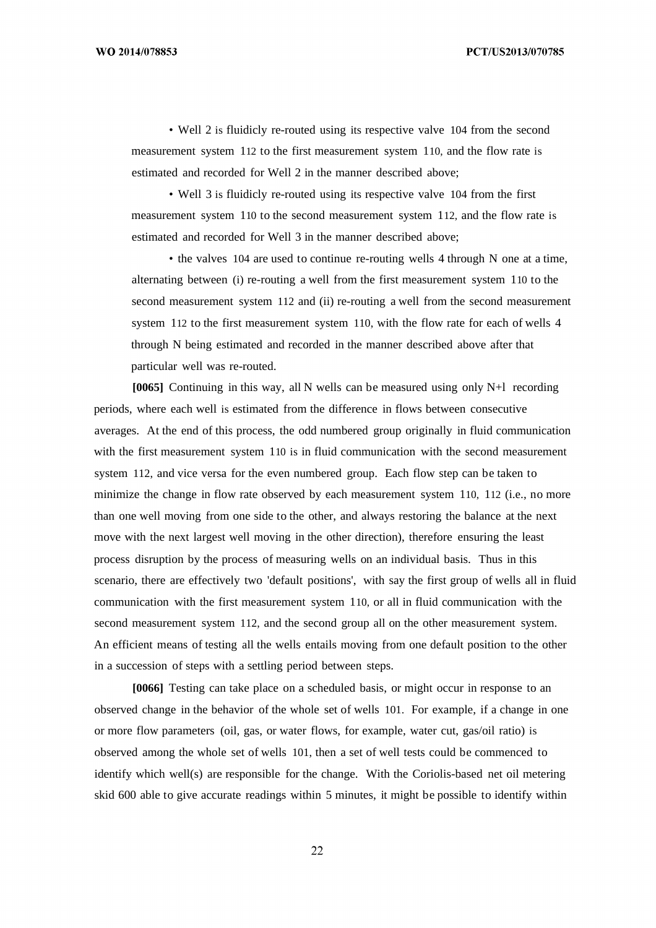• Well 2 is fluidicly re-routed using its respective valve 104 from the second measurement system 112 to the first measurement system 110, and the flow rate is estimated and recorded for Well 2 in the manner described above;

• Well 3 is fluidicly re-routed using its respective valve 104 from the first measurement system 110 to the second measurement system 112, and the flow rate is estimated and recorded for Well 3 in the manner described above;

• the valves 104 are used to continue re-routing wells 4 through N one at a time, alternating between (i) re-routing a well from the first measurement system 110 to the second measurement system 112 and (ii) re-routing a well from the second measurement system 112 to the first measurement system 110, with the flow rate for each of wells 4 through N being estimated and recorded in the manner described above after that particular well was re-routed.

**[0065]** Continuing in this way, all N wells can be measured using only N+l recording periods, where each well is estimated from the difference in flows between consecutive averages. At the end of this process, the odd numbered group originally in fluid communication with the first measurement system 110 is in fluid communication with the second measurement system 112, and vice versa for the even numbered group. Each flow step can be taken to minimize the change in flow rate observed by each measurement system 110, 112 (i.e., no more than one well moving from one side to the other, and always restoring the balance at the next move with the next largest well moving in the other direction), therefore ensuring the least process disruption by the process of measuring wells on an individual basis. Thus in this scenario, there are effectively two 'default positions', with say the first group of wells all in fluid communication with the first measurement system 110, or all in fluid communication with the second measurement system 112, and the second group all on the other measurement system. An efficient means of testing all the wells entails moving from one default position to the other in a succession of steps with a settling period between steps.

**[0066]** Testing can take place on a scheduled basis, or might occur in response to an observed change in the behavior of the whole set of wells 101. For example, if a change in one or more flow parameters (oil, gas, or water flows, for example, water cut, gas/oil ratio) is observed among the whole set of wells 101, then a set of well tests could be commenced to identify which well(s) are responsible for the change. With the Coriolis-based net oil metering skid 600 able to give accurate readings within 5 minutes, it might be possible to identify within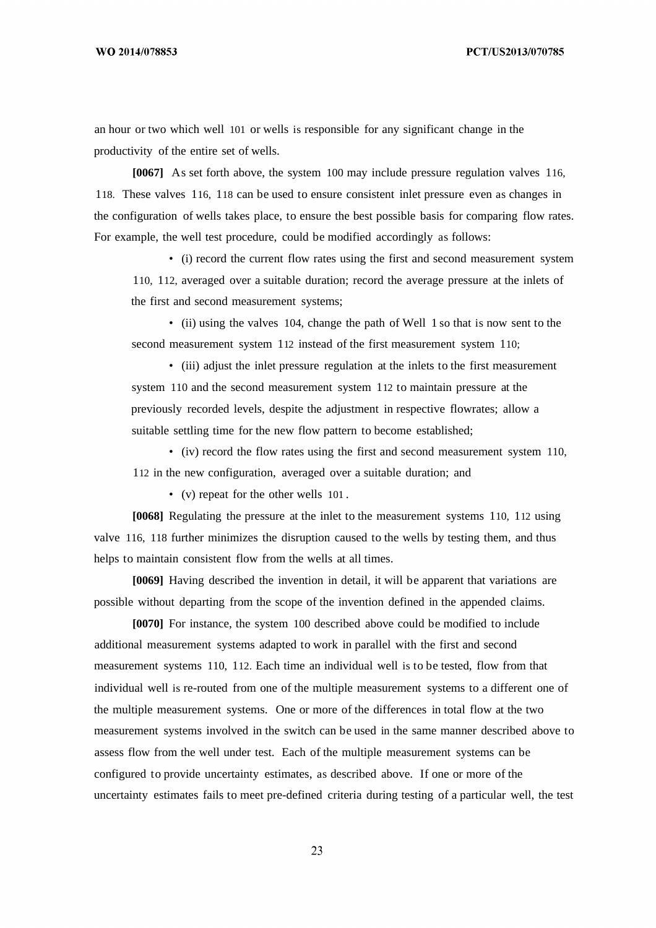an hour or two which well 101 or wells is responsible for any significant change in the productivity of the entire set of wells.

**[0067]** As set forth above, the system 100 may include pressure regulation valves 116, 118. These valves 116, 118 can be used to ensure consistent inlet pressure even as changes in the configuration of wells takes place, to ensure the best possible basis for comparing flow rates. For example, the well test procedure, could be modified accordingly as follows:

• (i) record the current flow rates using the first and second measurement system 110, 112, averaged over a suitable duration; record the average pressure at the inlets of the first and second measurement systems;

• (ii) using the valves 104, change the path of Well 1 so that is now sent to the second measurement system 112 instead of the first measurement system 110;

• (iii) adjust the inlet pressure regulation at the inlets to the first measurement system 110 and the second measurement system 112 to maintain pressure at the previously recorded levels, despite the adjustment in respective flowrates; allow a suitable settling time for the new flow pattern to become established;

• (iv) record the flow rates using the first and second measurement system 110, 112 in the new configuration, averaged over a suitable duration; and

• (v) repeat for the other wells 101 .

**[0068]** Regulating the pressure at the inlet to the measurement systems 110, 112 using valve 116, 118 further minimizes the disruption caused to the wells by testing them, and thus helps to maintain consistent flow from the wells at all times.

**[0069]** Having described the invention in detail, it will be apparent that variations are possible without departing from the scope of the invention defined in the appended claims.

**[0070]** For instance, the system 100 described above could be modified to include additional measurement systems adapted to work in parallel with the first and second measurement systems 110, 112. Each time an individual well is to be tested, flow from that individual well is re-routed from one of the multiple measurement systems to a different one of the multiple measurement systems. One or more of the differences in total flow at the two measurement systems involved in the switch can be used in the same manner described above to assess flow from the well under test. Each of the multiple measurement systems can be configured to provide uncertainty estimates, as described above. If one or more of the uncertainty estimates fails to meet pre-defined criteria during testing of a particular well, the test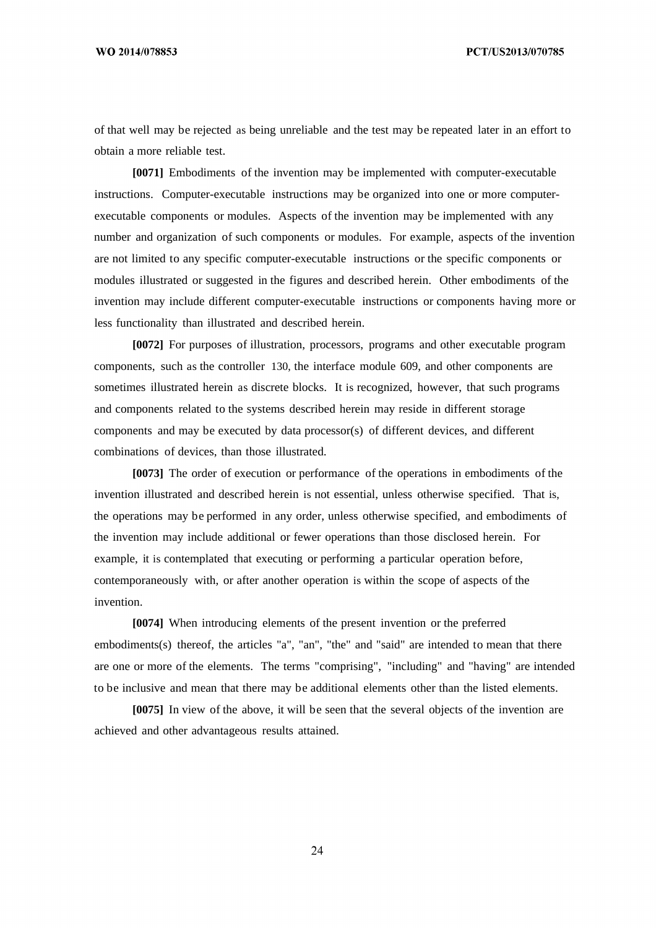PCT/US2013/070785

of that well may be rejected as being unreliable and the test may be repeated later in an effort to obtain a more reliable test.

**[0071]** Embodiments of the invention may be implemented with computer-executable instructions. Computer-executable instructions may be organized into one or more computerexecutable components or modules. Aspects of the invention may be implemented with any number and organization of such components or modules. For example, aspects of the invention are not limited to any specific computer-executable instructions or the specific components or modules illustrated or suggested in the figures and described herein. Other embodiments of the invention may include different computer-executable instructions or components having more or less functionality than illustrated and described herein.

**[0072]** For purposes of illustration, processors, programs and other executable program components, such as the controller 130, the interface module 609, and other components are sometimes illustrated herein as discrete blocks. It is recognized, however, that such programs and components related to the systems described herein may reside in different storage components and may be executed by data processor(s) of different devices, and different combinations of devices, than those illustrated.

**[0073]** The order of execution or performance of the operations in embodiments of the invention illustrated and described herein is not essential, unless otherwise specified. That is, the operations may be performed in any order, unless otherwise specified, and embodiments of the invention may include additional or fewer operations than those disclosed herein. For example, it is contemplated that executing or performing a particular operation before, contemporaneously with, or after another operation is within the scope of aspects of the invention.

**[0074]** When introducing elements of the present invention or the preferred embodiments(s) thereof, the articles "a", "an", "the" and "said" are intended to mean that there are one or more of the elements. The terms "comprising", "including" and "having" are intended to be inclusive and mean that there may be additional elements other than the listed elements.

**[0075]** In view of the above, it will be seen that the several objects of the invention are achieved and other advantageous results attained.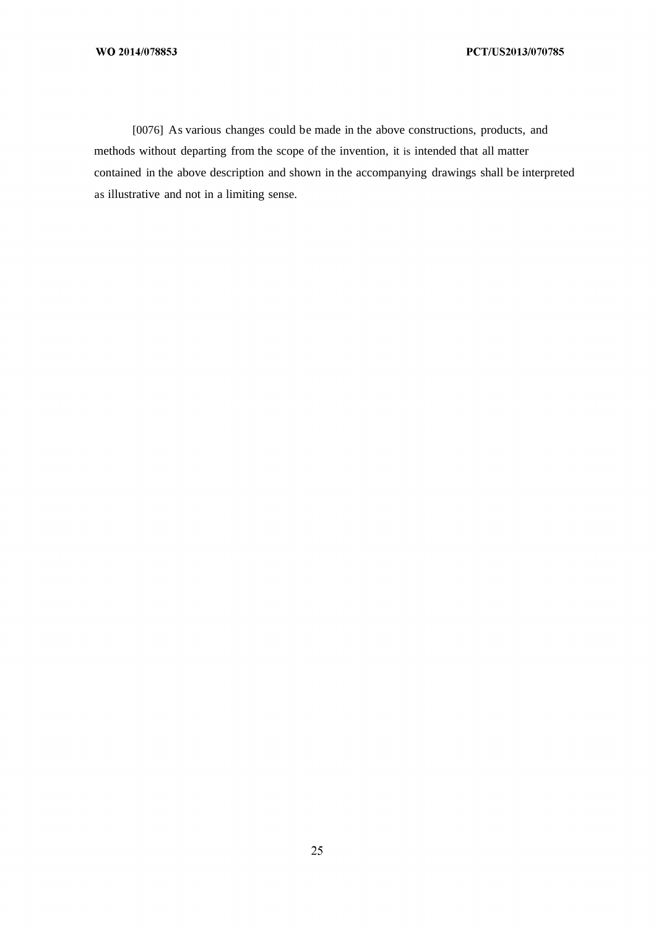[0076] As various changes could be made in the above constructions, products, and methods without departing from the scope of the invention, it is intended that all matter contained in the above description and shown in the accompanying drawings shall be interpreted as illustrative and not in a limiting sense.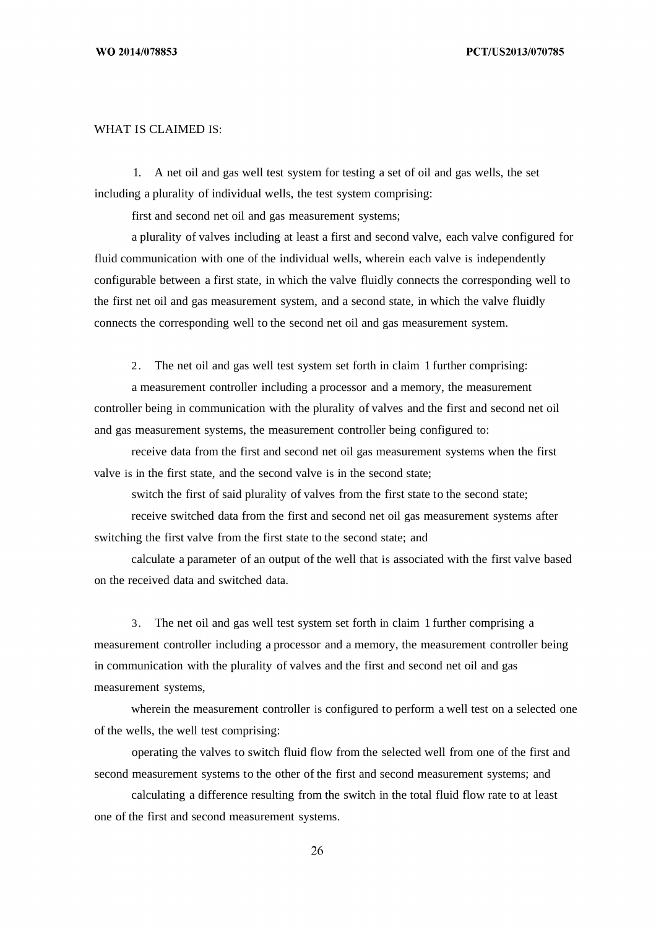### WHAT IS CLAIMED IS:

1. A net oil and gas well test system for testing a set of oil and gas wells, the set including a plurality of individual wells, the test system comprising:

first and second net oil and gas measurement systems;

a plurality of valves including at least a first and second valve, each valve configured for fluid communication with one of the individual wells, wherein each valve is independently configurable between a first state, in which the valve fluidly connects the corresponding well to the first net oil and gas measurement system, and a second state, in which the valve fluidly connects the corresponding well to the second net oil and gas measurement system.

2. The net oil and gas well test system set forth in claim 1 further comprising:

a measurement controller including a processor and a memory, the measurement controller being in communication with the plurality of valves and the first and second net oil and gas measurement systems, the measurement controller being configured to:

receive data from the first and second net oil gas measurement systems when the first valve is in the first state, and the second valve is in the second state;

switch the first of said plurality of valves from the first state to the second state;

receive switched data from the first and second net oil gas measurement systems after switching the first valve from the first state to the second state; and

calculate a parameter of an output of the well that is associated with the first valve based on the received data and switched data.

3. The net oil and gas well test system set forth in claim 1 further comprising a measurement controller including a processor and a memory, the measurement controller being in communication with the plurality of valves and the first and second net oil and gas measurement systems,

wherein the measurement controller is configured to perform a well test on a selected one of the wells, the well test comprising:

operating the valves to switch fluid flow from the selected well from one of the first and second measurement systems to the other of the first and second measurement systems; and

calculating a difference resulting from the switch in the total fluid flow rate to at least one of the first and second measurement systems.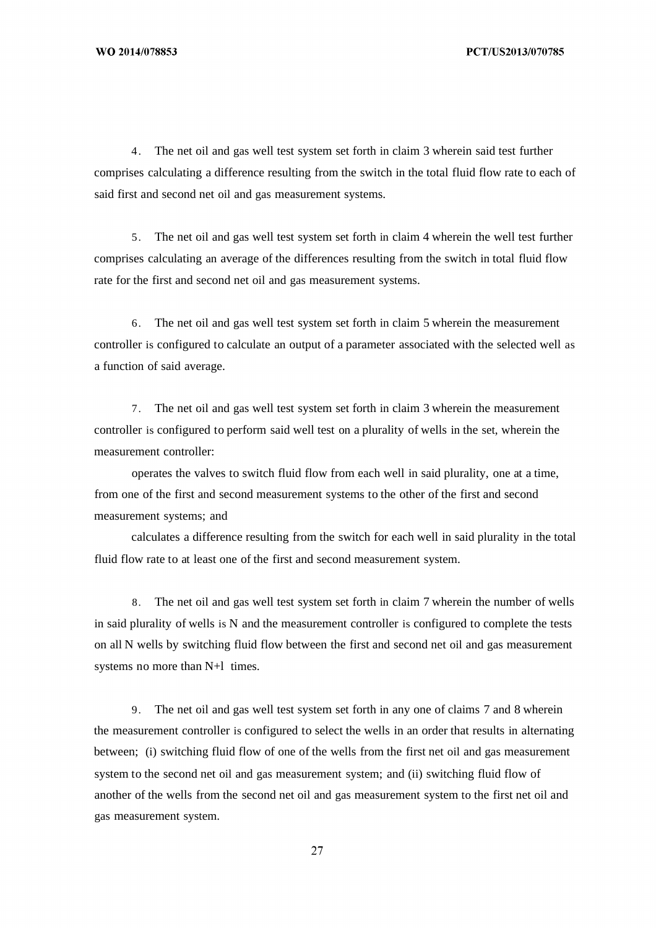4. The net oil and gas well test system set forth in claim 3 wherein said test further comprises calculating a difference resulting from the switch in the total fluid flow rate to each of said first and second net oil and gas measurement systems.

5. The net oil and gas well test system set forth in claim 4 wherein the well test further comprises calculating an average of the differences resulting from the switch in total fluid flow rate for the first and second net oil and gas measurement systems.

6. The net oil and gas well test system set forth in claim 5 wherein the measurement controller is configured to calculate an output of a parameter associated with the selected well as a function of said average.

7. The net oil and gas well test system set forth in claim 3 wherein the measurement controller is configured to perform said well test on a plurality of wells in the set, wherein the measurement controller:

operates the valves to switch fluid flow from each well in said plurality, one at a time, from one of the first and second measurement systems to the other of the first and second measurement systems; and

calculates a difference resulting from the switch for each well in said plurality in the total fluid flow rate to at least one of the first and second measurement system.

8. The net oil and gas well test system set forth in claim 7 wherein the number of wells in said plurality of wells is N and the measurement controller is configured to complete the tests on all N wells by switching fluid flow between the first and second net oil and gas measurement systems no more than N+l times.

9. The net oil and gas well test system set forth in any one of claims 7 and 8 wherein the measurement controller is configured to select the wells in an order that results in alternating between; (i) switching fluid flow of one of the wells from the first net oil and gas measurement system to the second net oil and gas measurement system; and (ii) switching fluid flow of another of the wells from the second net oil and gas measurement system to the first net oil and gas measurement system.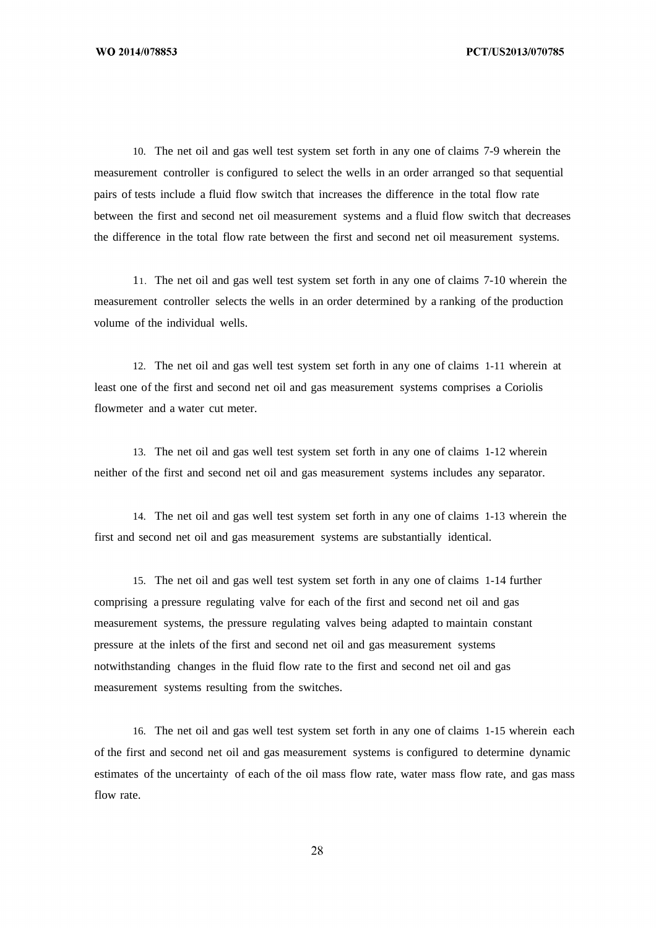10. The net oil and gas well test system set forth in any one of claims 7-9 wherein the measurement controller is configured to select the wells in an order arranged so that sequential pairs of tests include a fluid flow switch that increases the difference in the total flow rate between the first and second net oil measurement systems and a fluid flow switch that decreases the difference in the total flow rate between the first and second net oil measurement systems.

11. The net oil and gas well test system set forth in any one of claims 7-10 wherein the measurement controller selects the wells in an order determined by a ranking of the production volume of the individual wells.

12. The net oil and gas well test system set forth in any one of claims 1-11 wherein at least one of the first and second net oil and gas measurement systems comprises a Coriolis flowmeter and a water cut meter.

13. The net oil and gas well test system set forth in any one of claims 1-12 wherein neither of the first and second net oil and gas measurement systems includes any separator.

14. The net oil and gas well test system set forth in any one of claims 1-13 wherein the first and second net oil and gas measurement systems are substantially identical.

15. The net oil and gas well test system set forth in any one of claims 1-14 further comprising a pressure regulating valve for each of the first and second net oil and gas measurement systems, the pressure regulating valves being adapted to maintain constant pressure at the inlets of the first and second net oil and gas measurement systems notwithstanding changes in the fluid flow rate to the first and second net oil and gas measurement systems resulting from the switches.

16. The net oil and gas well test system set forth in any one of claims 1-15 wherein each of the first and second net oil and gas measurement systems is configured to determine dynamic estimates of the uncertainty of each of the oil mass flow rate, water mass flow rate, and gas mass flow rate.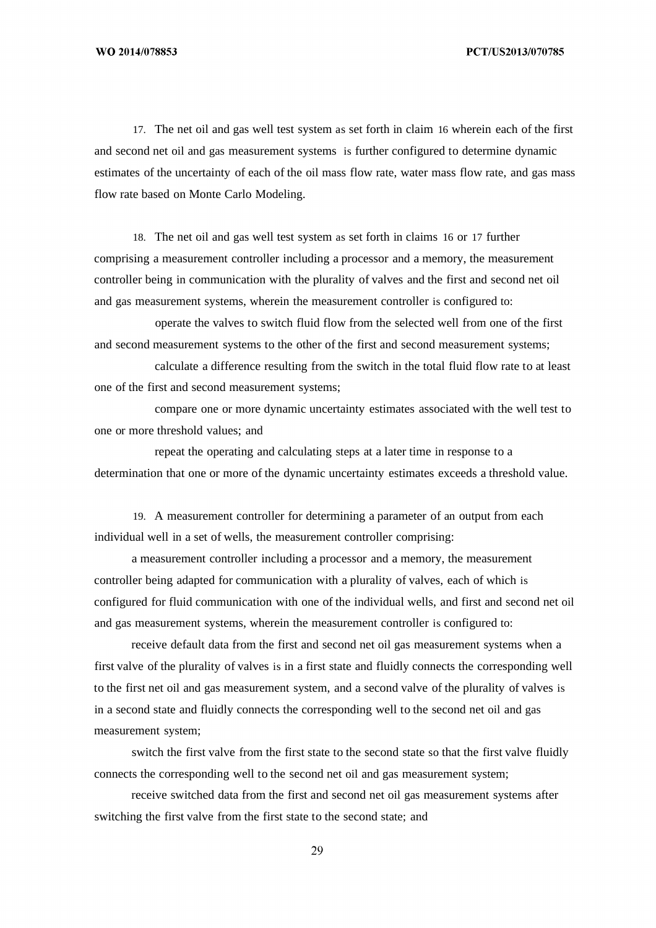17. The net oil and gas well test system as set forth in claim 16 wherein each of the first and second net oil and gas measurement systems is further configured to determine dynamic estimates of the uncertainty of each of the oil mass flow rate, water mass flow rate, and gas mass flow rate based on Monte Carlo Modeling.

18. The net oil and gas well test system as set forth in claims 16 or 17 further comprising a measurement controller including a processor and a memory, the measurement controller being in communication with the plurality of valves and the first and second net oil and gas measurement systems, wherein the measurement controller is configured to:

operate the valves to switch fluid flow from the selected well from one of the first and second measurement systems to the other of the first and second measurement systems;

calculate a difference resulting from the switch in the total fluid flow rate to at least one of the first and second measurement systems;

compare one or more dynamic uncertainty estimates associated with the well test to one or more threshold values; and

repeat the operating and calculating steps at a later time in response to a determination that one or more of the dynamic uncertainty estimates exceeds a threshold value.

19. A measurement controller for determining a parameter of an output from each individual well in a set of wells, the measurement controller comprising:

a measurement controller including a processor and a memory, the measurement controller being adapted for communication with a plurality of valves, each of which is configured for fluid communication with one of the individual wells, and first and second net oil and gas measurement systems, wherein the measurement controller is configured to:

receive default data from the first and second net oil gas measurement systems when a first valve of the plurality of valves is in a first state and fluidly connects the corresponding well to the first net oil and gas measurement system, and a second valve of the plurality of valves is in a second state and fluidly connects the corresponding well to the second net oil and gas measurement system;

switch the first valve from the first state to the second state so that the first valve fluidly connects the corresponding well to the second net oil and gas measurement system;

receive switched data from the first and second net oil gas measurement systems after switching the first valve from the first state to the second state; and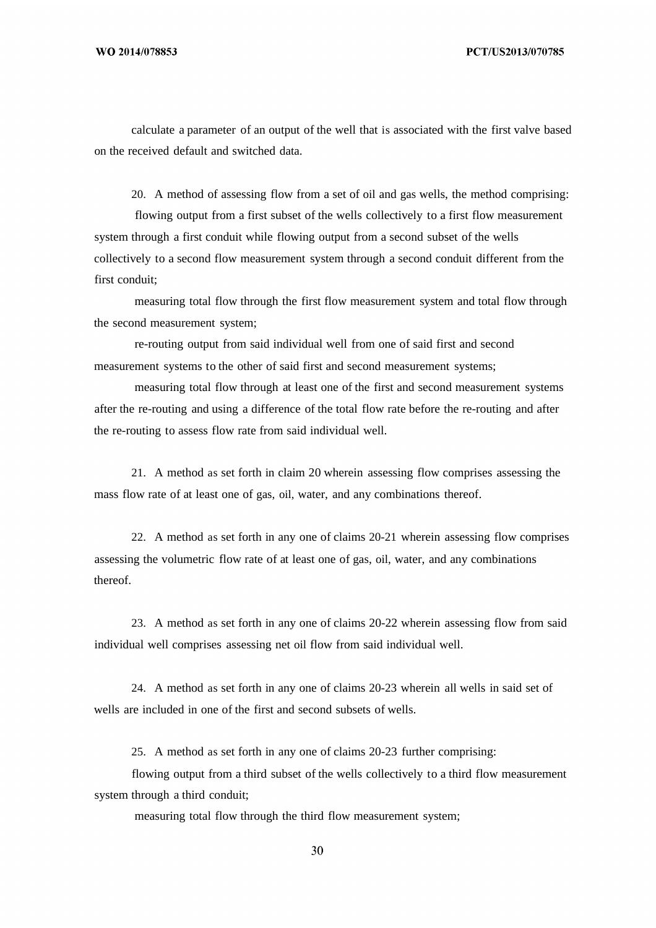calculate a parameter of an output of the well that is associated with the first valve based on the received default and switched data.

20. A method of assessing flow from a set of oil and gas wells, the method comprising:

flowing output from a first subset of the wells collectively to a first flow measurement system through a first conduit while flowing output from a second subset of the wells collectively to a second flow measurement system through a second conduit different from the first conduit;

measuring total flow through the first flow measurement system and total flow through the second measurement system;

re-routing output from said individual well from one of said first and second measurement systems to the other of said first and second measurement systems;

measuring total flow through at least one of the first and second measurement systems after the re-routing and using a difference of the total flow rate before the re-routing and after the re-routing to assess flow rate from said individual well.

21. A method as set forth in claim 20 wherein assessing flow comprises assessing the mass flow rate of at least one of gas, oil, water, and any combinations thereof.

22. A method as set forth in any one of claims 20-21 wherein assessing flow comprises assessing the volumetric flow rate of at least one of gas, oil, water, and any combinations thereof.

23. A method as set forth in any one of claims 20-22 wherein assessing flow from said individual well comprises assessing net oil flow from said individual well.

24. A method as set forth in any one of claims 20-23 wherein all wells in said set of wells are included in one of the first and second subsets of wells.

25. A method as set forth in any one of claims 20-23 further comprising:

flowing output from a third subset of the wells collectively to a third flow measurement system through a third conduit;

measuring total flow through the third flow measurement system;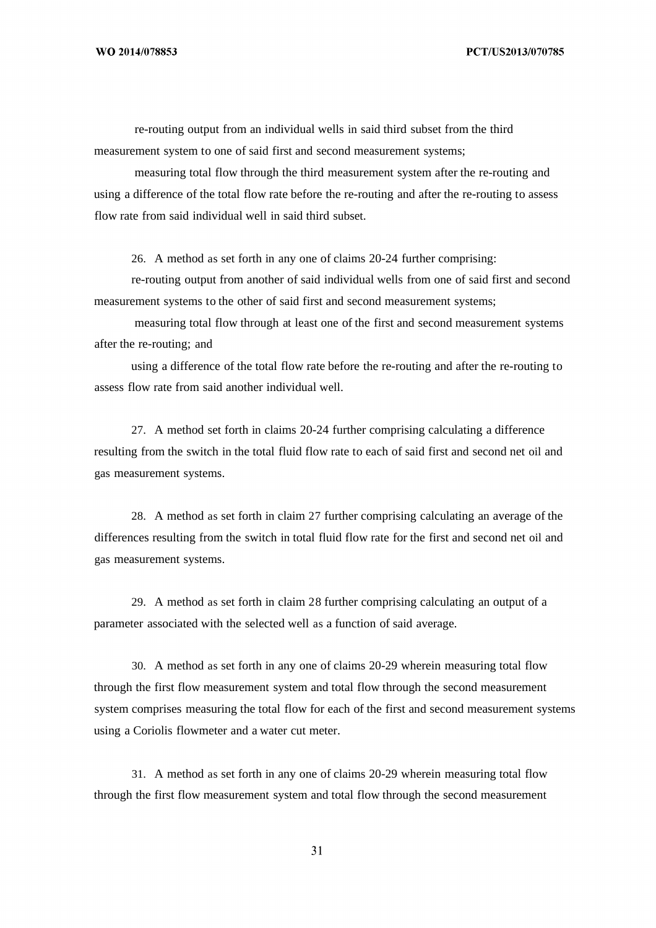re-routing output from an individual wells in said third subset from the third measurement system to one of said first and second measurement systems;

measuring total flow through the third measurement system after the re-routing and using a difference of the total flow rate before the re-routing and after the re-routing to assess flow rate from said individual well in said third subset.

26. A method as set forth in any one of claims 20-24 further comprising:

re-routing output from another of said individual wells from one of said first and second measurement systems to the other of said first and second measurement systems;

measuring total flow through at least one of the first and second measurement systems after the re-routing; and

using a difference of the total flow rate before the re-routing and after the re-routing to assess flow rate from said another individual well.

27. A method set forth in claims 20-24 further comprising calculating a difference resulting from the switch in the total fluid flow rate to each of said first and second net oil and gas measurement systems.

28. A method as set forth in claim 27 further comprising calculating an average of the differences resulting from the switch in total fluid flow rate for the first and second net oil and gas measurement systems.

29. A method as set forth in claim 28 further comprising calculating an output of a parameter associated with the selected well as a function of said average.

30. A method as set forth in any one of claims 20-29 wherein measuring total flow through the first flow measurement system and total flow through the second measurement system comprises measuring the total flow for each of the first and second measurement systems using a Coriolis flowmeter and a water cut meter.

31. A method as set forth in any one of claims 20-29 wherein measuring total flow through the first flow measurement system and total flow through the second measurement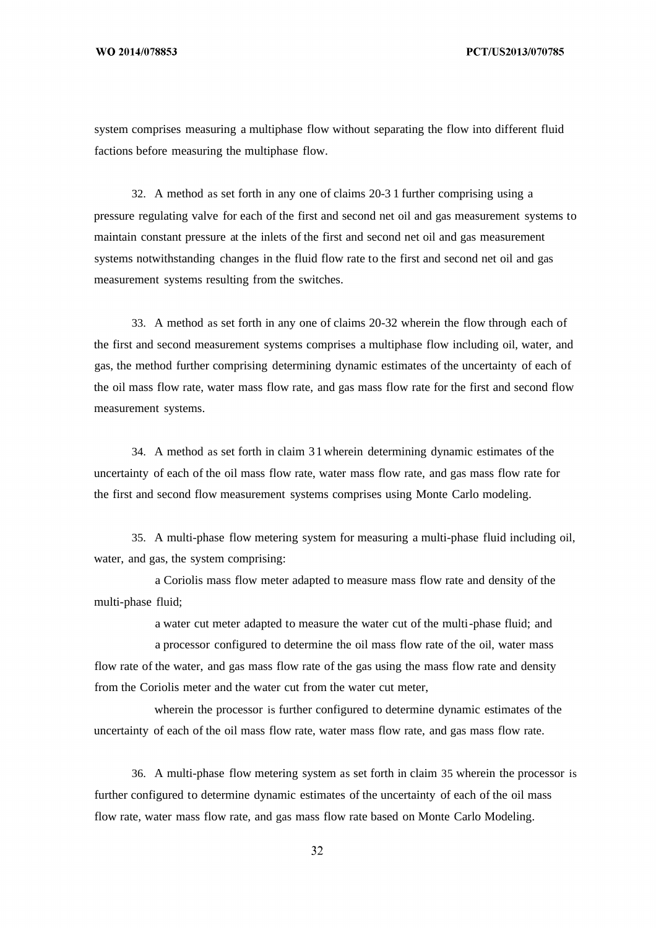system comprises measuring a multiphase flow without separating the flow into different fluid factions before measuring the multiphase flow.

32. A method as set forth in any one of claims 20-3 1 further comprising using a pressure regulating valve for each of the first and second net oil and gas measurement systems to maintain constant pressure at the inlets of the first and second net oil and gas measurement systems notwithstanding changes in the fluid flow rate to the first and second net oil and gas measurement systems resulting from the switches.

33. A method as set forth in any one of claims 20-32 wherein the flow through each of the first and second measurement systems comprises a multiphase flow including oil, water, and gas, the method further comprising determining dynamic estimates of the uncertainty of each of the oil mass flow rate, water mass flow rate, and gas mass flow rate for the first and second flow measurement systems.

34. A method as set forth in claim 31wherein determining dynamic estimates of the uncertainty of each of the oil mass flow rate, water mass flow rate, and gas mass flow rate for the first and second flow measurement systems comprises using Monte Carlo modeling.

35. A multi-phase flow metering system for measuring a multi-phase fluid including oil, water, and gas, the system comprising:

a Coriolis mass flow meter adapted to measure mass flow rate and density of the multi-phase fluid;

a water cut meter adapted to measure the water cut of the multi-phase fluid; and

a processor configured to determine the oil mass flow rate of the oil, water mass flow rate of the water, and gas mass flow rate of the gas using the mass flow rate and density from the Coriolis meter and the water cut from the water cut meter,

wherein the processor is further configured to determine dynamic estimates of the uncertainty of each of the oil mass flow rate, water mass flow rate, and gas mass flow rate.

36. A multi-phase flow metering system as set forth in claim 35 wherein the processor is further configured to determine dynamic estimates of the uncertainty of each of the oil mass flow rate, water mass flow rate, and gas mass flow rate based on Monte Carlo Modeling.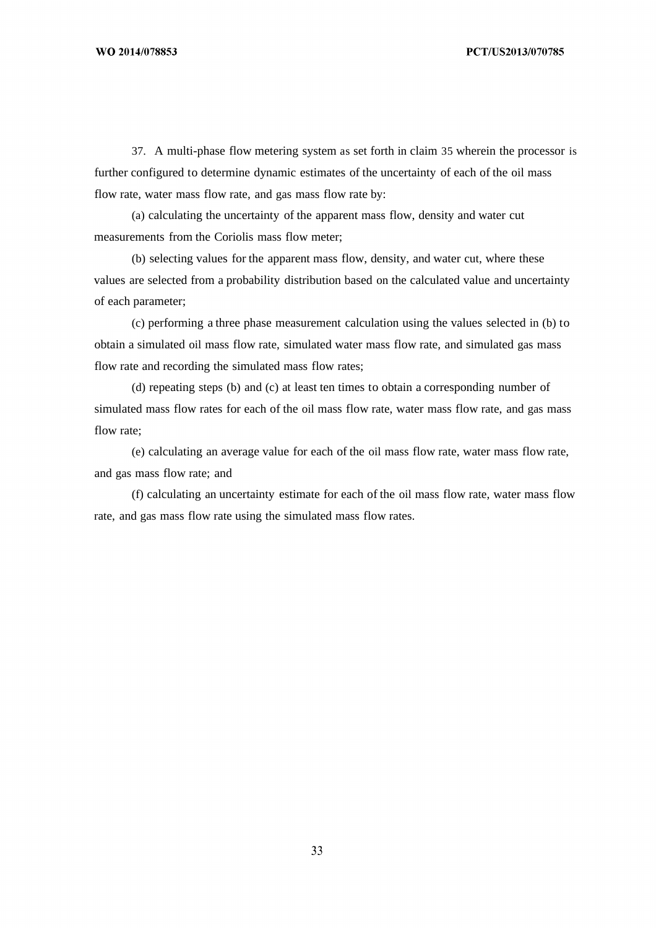37. A multi-phase flow metering system as set forth in claim 35 wherein the processor is further configured to determine dynamic estimates of the uncertainty of each of the oil mass flow rate, water mass flow rate, and gas mass flow rate by:

(a) calculating the uncertainty of the apparent mass flow, density and water cut measurements from the Coriolis mass flow meter;

(b) selecting values for the apparent mass flow, density, and water cut, where these values are selected from a probability distribution based on the calculated value and uncertainty of each parameter;

(c) performing a three phase measurement calculation using the values selected in (b) to obtain a simulated oil mass flow rate, simulated water mass flow rate, and simulated gas mass flow rate and recording the simulated mass flow rates;

(d) repeating steps (b) and (c) at least ten times to obtain a corresponding number of simulated mass flow rates for each of the oil mass flow rate, water mass flow rate, and gas mass flow rate;

(e) calculating an average value for each of the oil mass flow rate, water mass flow rate, and gas mass flow rate; and

(f) calculating an uncertainty estimate for each of the oil mass flow rate, water mass flow rate, and gas mass flow rate using the simulated mass flow rates.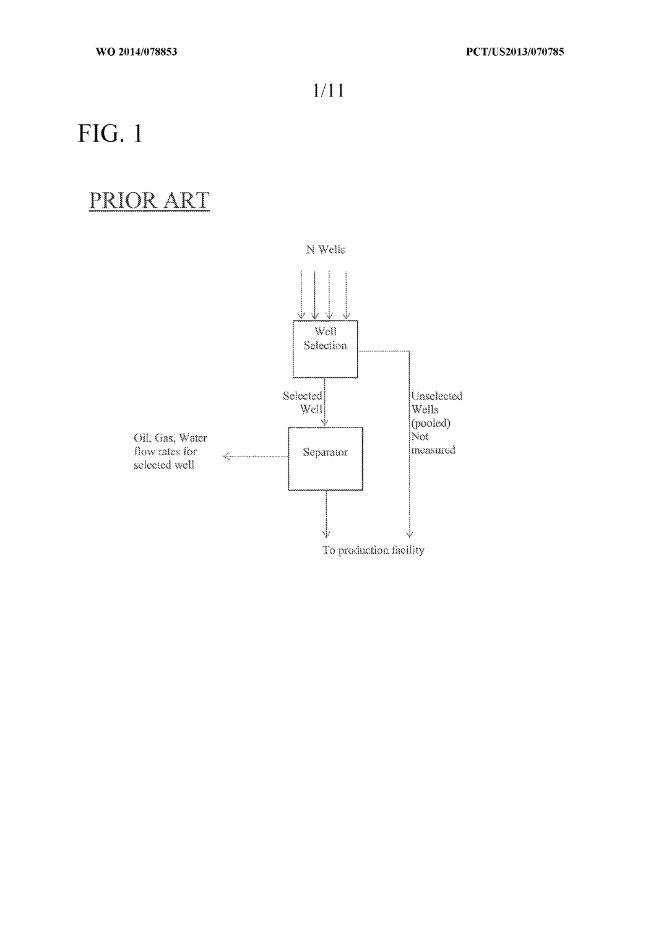$\hat{\mathcal{L}}$ 

 $1/11$ 

# **FIG. 1**

### PRIOR ART

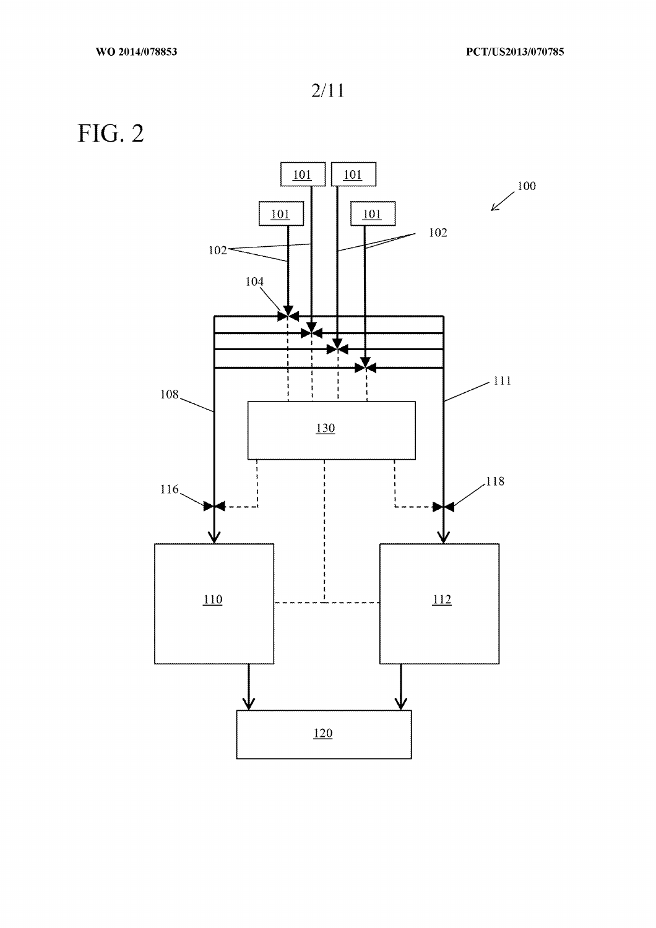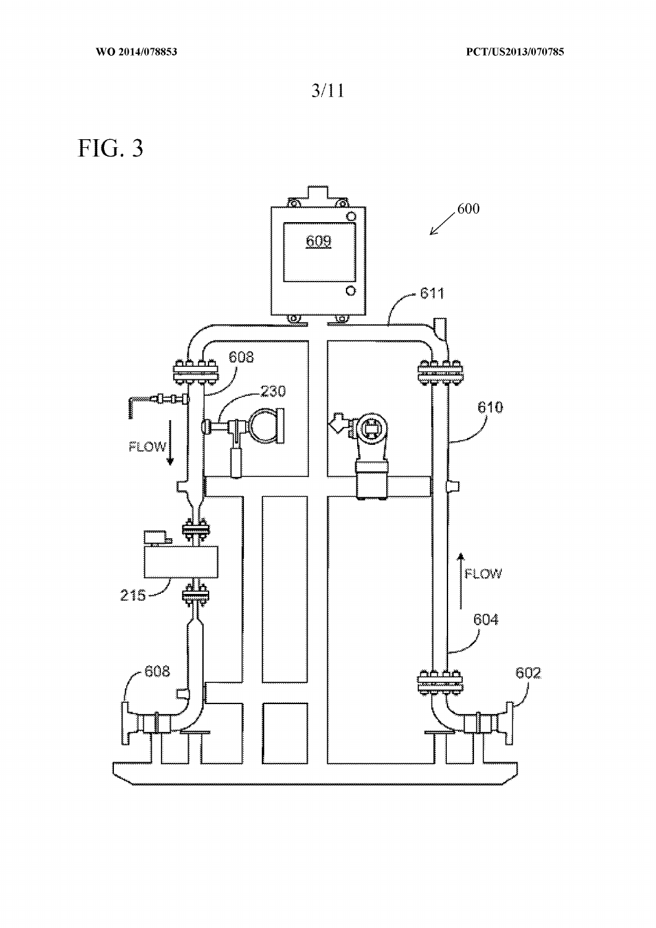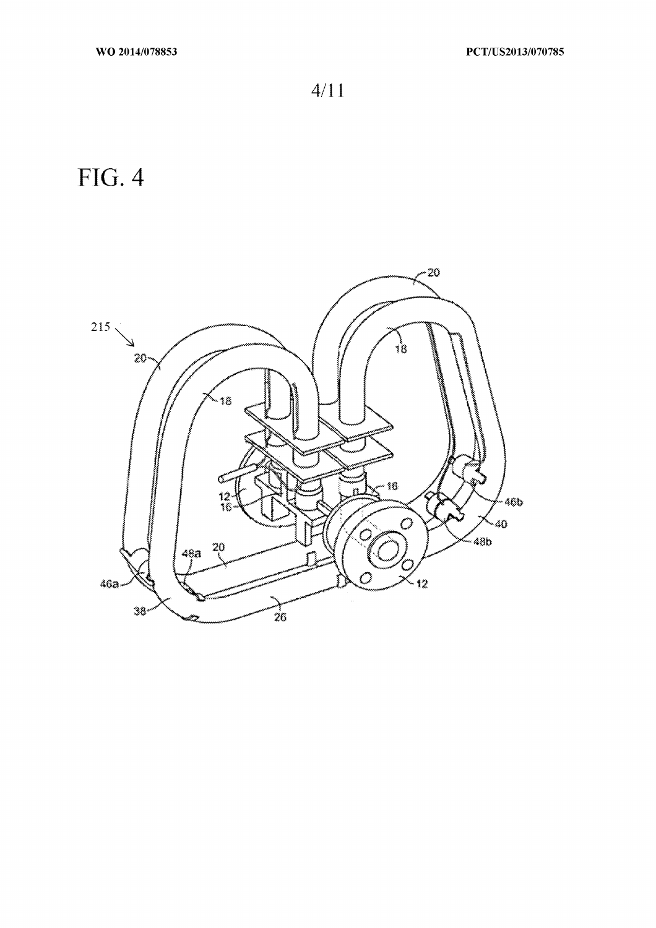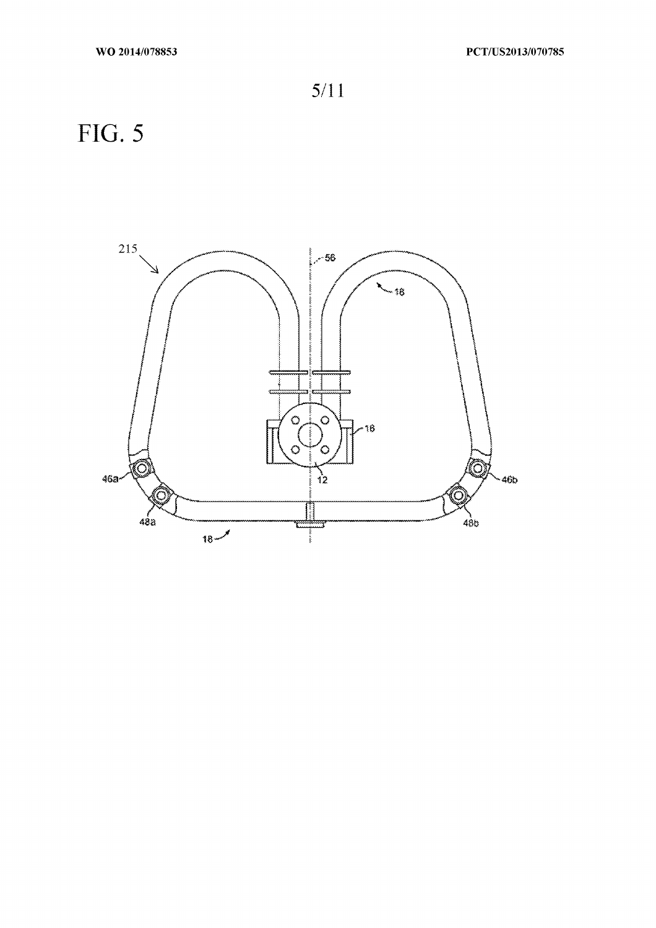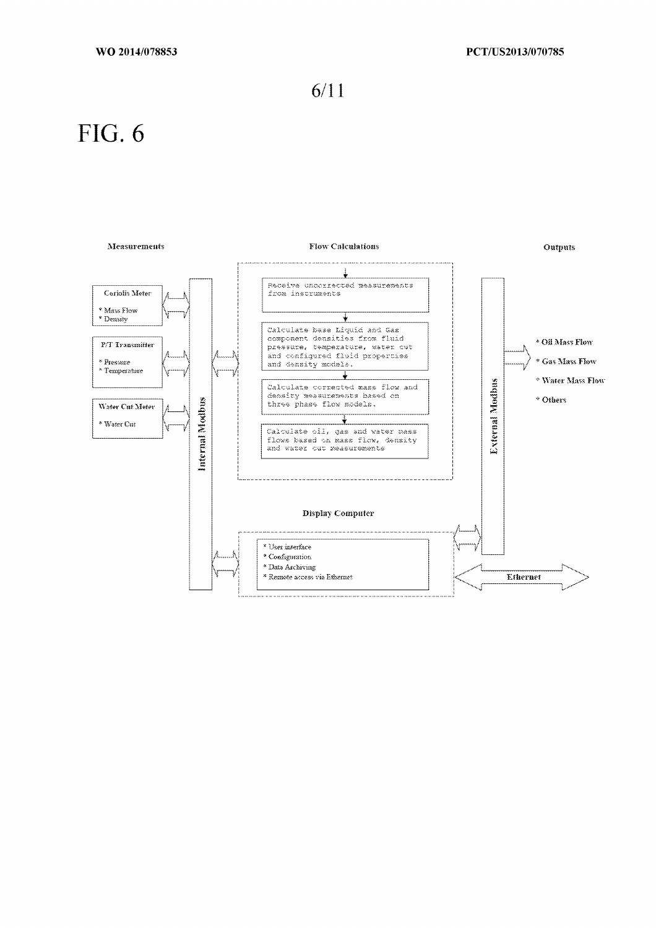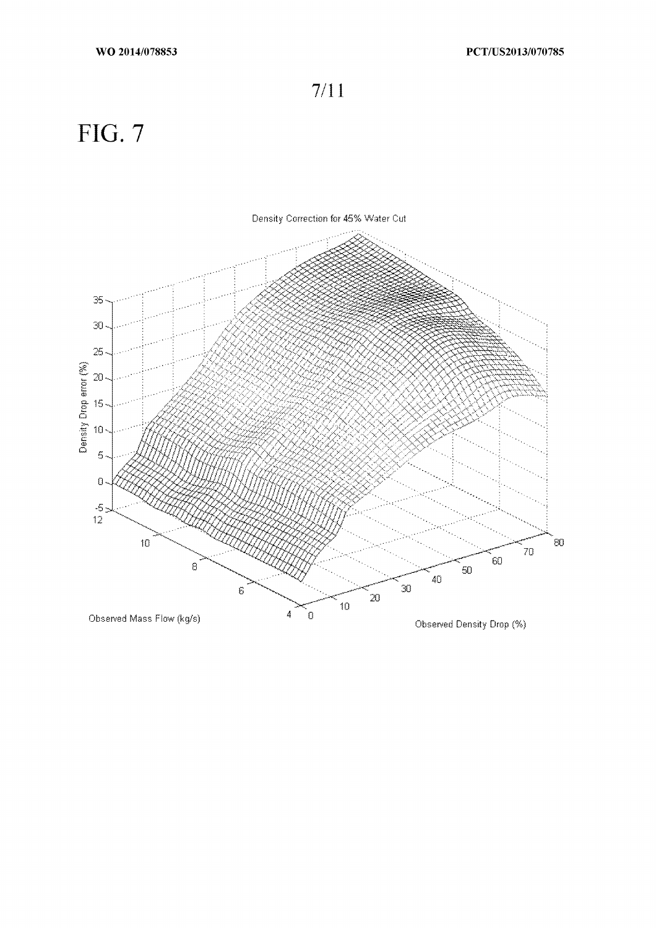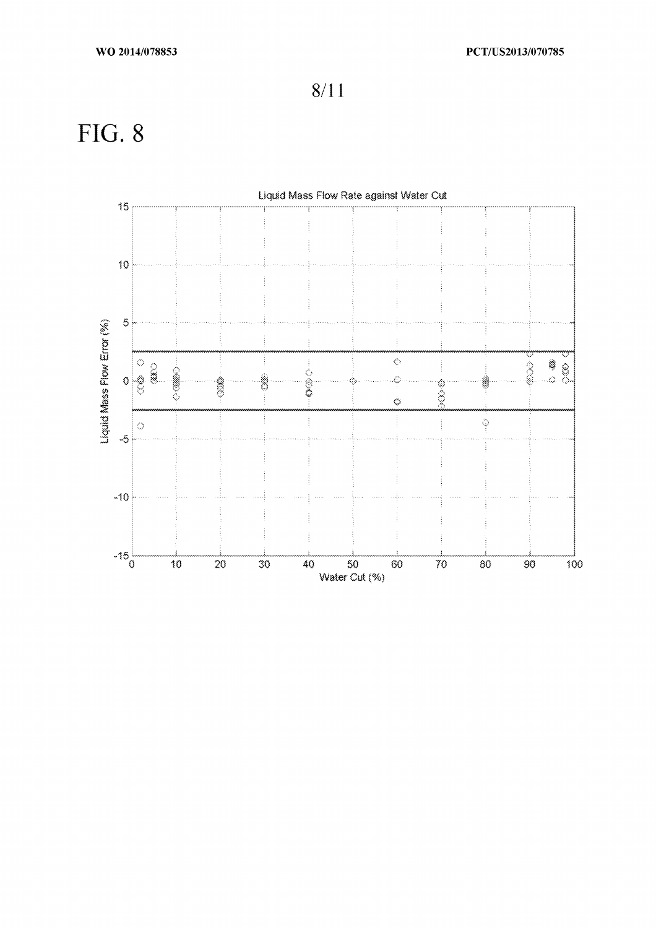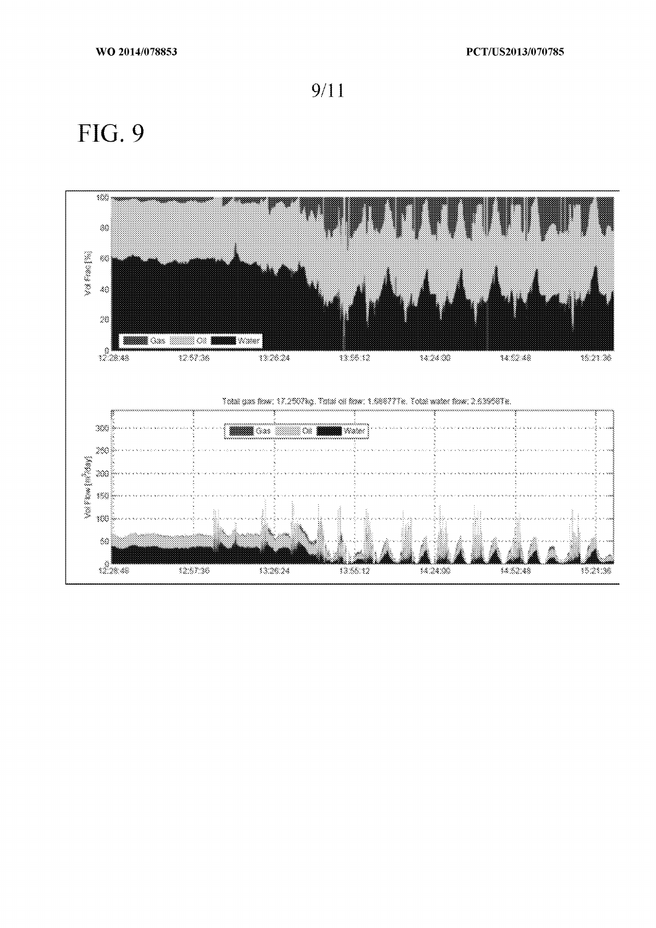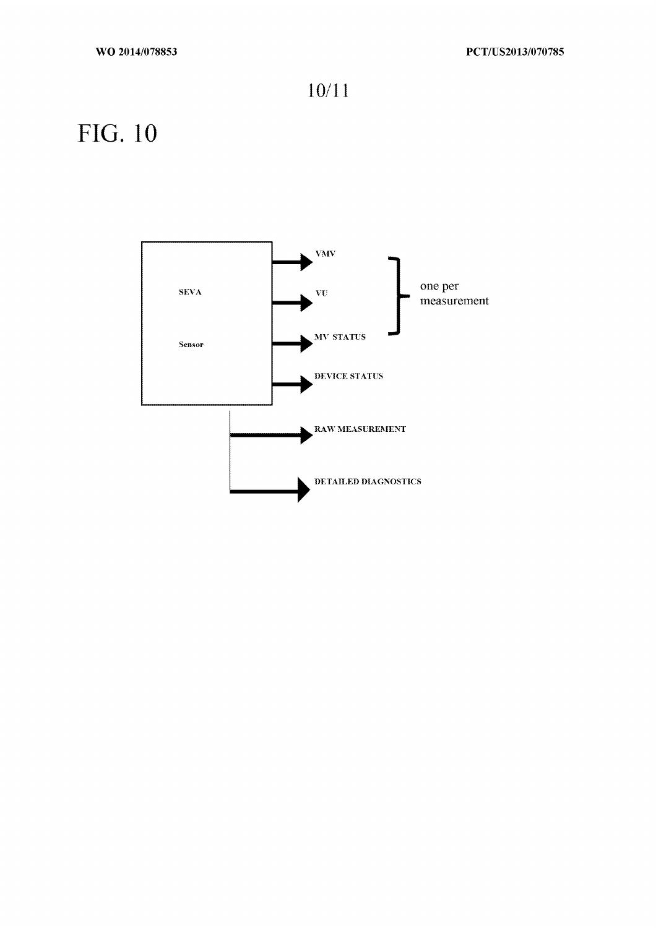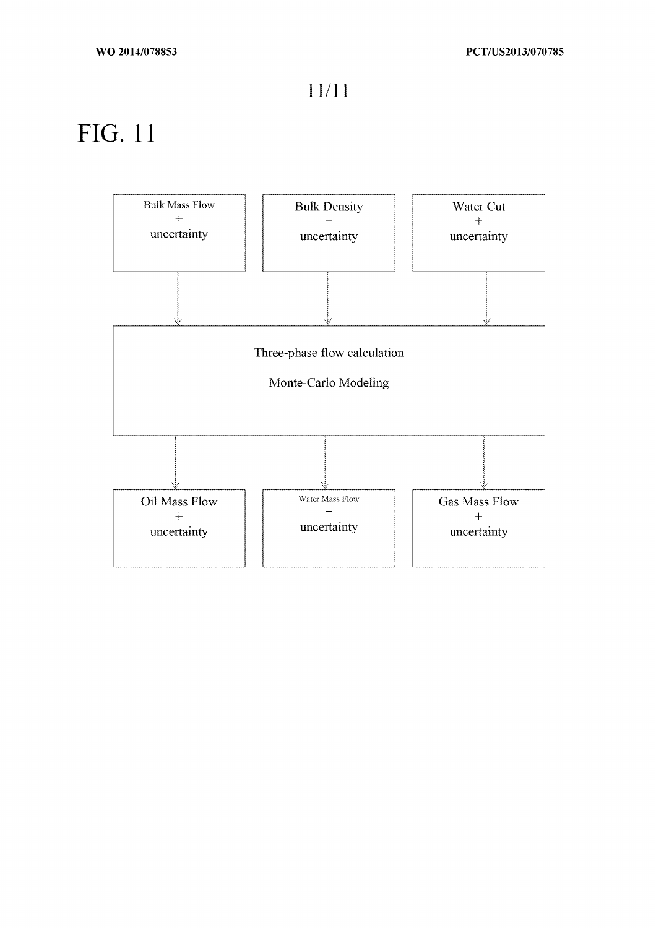